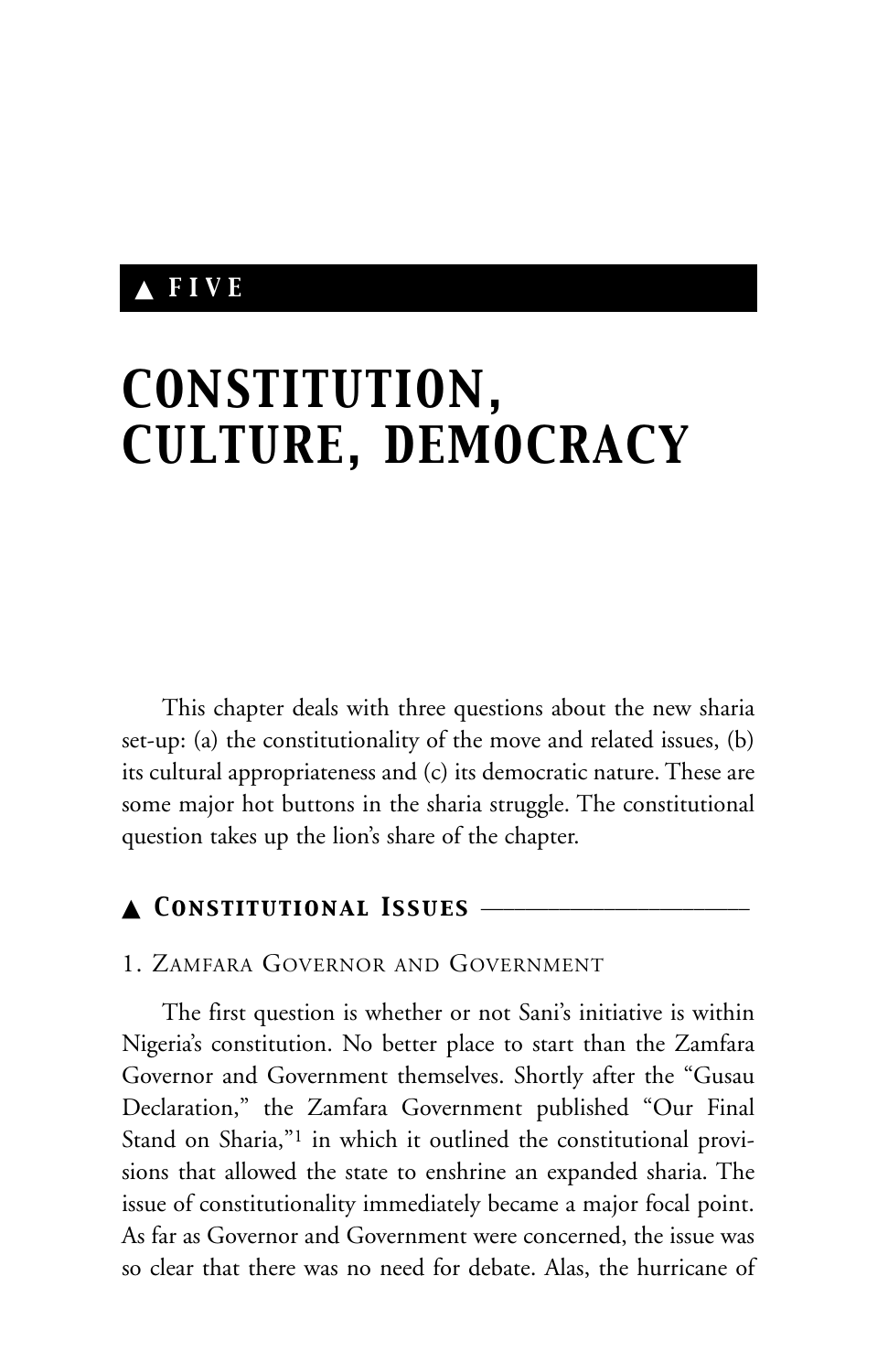# ▲ *FIVE*

# *CONSTITUTION, CULTURE, DEMOCRACY*

This chapter deals with three questions about the new sharia set-up: (a) the constitutionality of the move and related issues, (b) its cultural appropriateness and (c) its democratic nature. These are some major hot buttons in the sharia struggle. The constitutional question takes up the lion's share of the chapter.

# ▲ *Constitutional Issues* \_\_\_\_\_\_\_\_\_\_\_\_\_\_\_\_\_\_\_\_\_\_\_\_

# 1. ZAMFARA GOVERNOR AND GOVERNMENT

The first question is whether or not Sani's initiative is within Nigeria's constitution. No better place to start than the Zamfara Governor and Government themselves. Shortly after the "Gusau Declaration," the Zamfara Government published "Our Final Stand on Sharia,"1 in which it outlined the constitutional provisions that allowed the state to enshrine an expanded sharia. The issue of constitutionality immediately became a major focal point. As far as Governor and Government were concerned, the issue was so clear that there was no need for debate. Alas, the hurricane of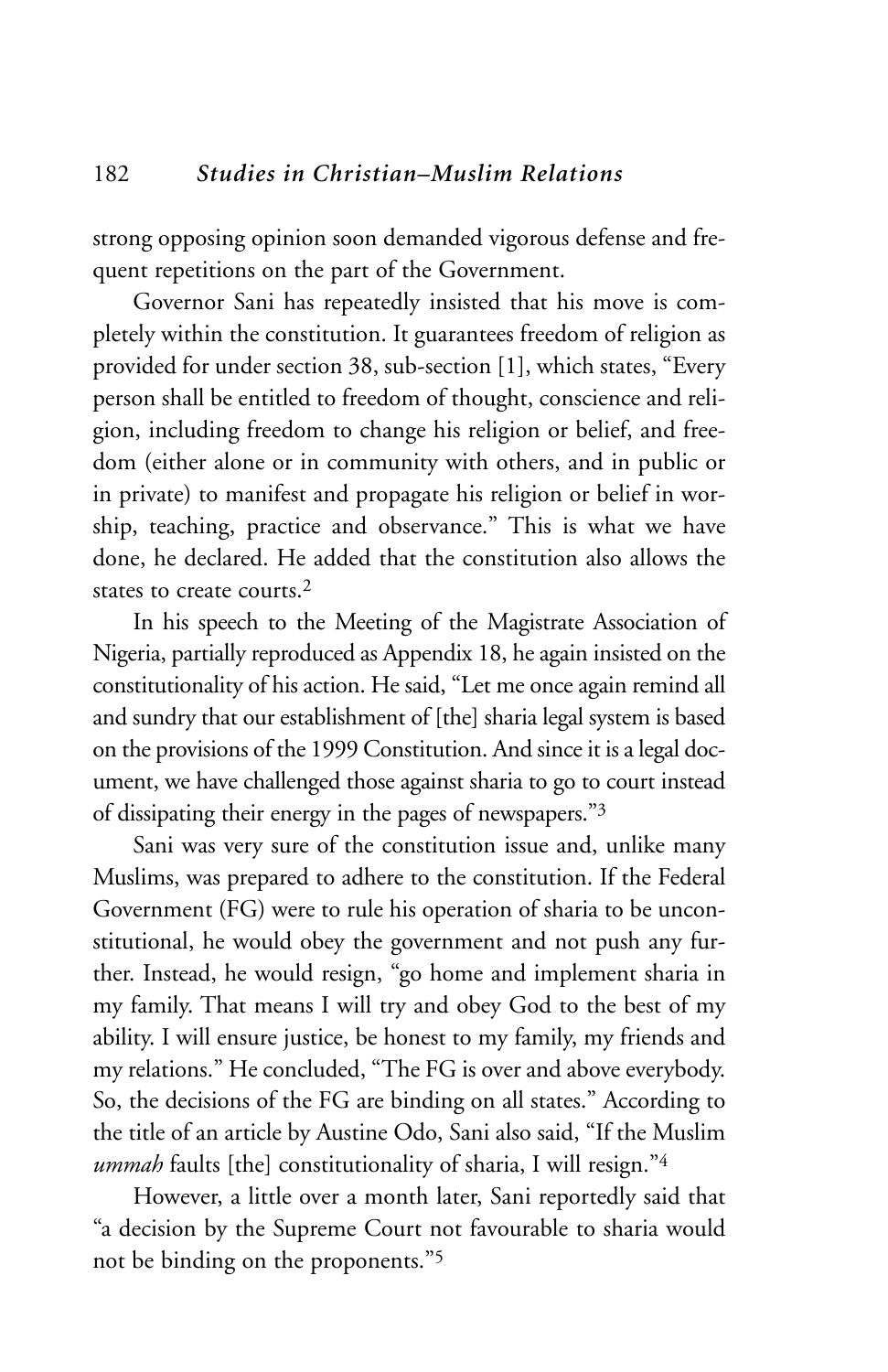strong opposing opinion soon demanded vigorous defense and frequent repetitions on the part of the Government.

Governor Sani has repeatedly insisted that his move is completely within the constitution. It guarantees freedom of religion as provided for under section 38, sub-section [1], which states, "Every person shall be entitled to freedom of thought, conscience and religion, including freedom to change his religion or belief, and freedom (either alone or in community with others, and in public or in private) to manifest and propagate his religion or belief in worship, teaching, practice and observance." This is what we have done, he declared. He added that the constitution also allows the states to create courts  $2$ 

In his speech to the Meeting of the Magistrate Association of Nigeria, partially reproduced as Appendix 18, he again insisted on the constitutionality of his action. He said, "Let me once again remind all and sundry that our establishment of [the] sharia legal system is based on the provisions of the 1999 Constitution. And since it is a legal document, we have challenged those against sharia to go to court instead of dissipating their energy in the pages of newspapers."3

Sani was very sure of the constitution issue and, unlike many Muslims, was prepared to adhere to the constitution. If the Federal Government (FG) were to rule his operation of sharia to be unconstitutional, he would obey the government and not push any further. Instead, he would resign, "go home and implement sharia in my family. That means I will try and obey God to the best of my ability. I will ensure justice, be honest to my family, my friends and my relations." He concluded, "The FG is over and above everybody. So, the decisions of the FG are binding on all states." According to the title of an article by Austine Odo, Sani also said, "If the Muslim *ummah* faults [the] constitutionality of sharia, I will resign."<sup>4</sup>

However, a little over a month later, Sani reportedly said that "a decision by the Supreme Court not favourable to sharia would not be binding on the proponents."5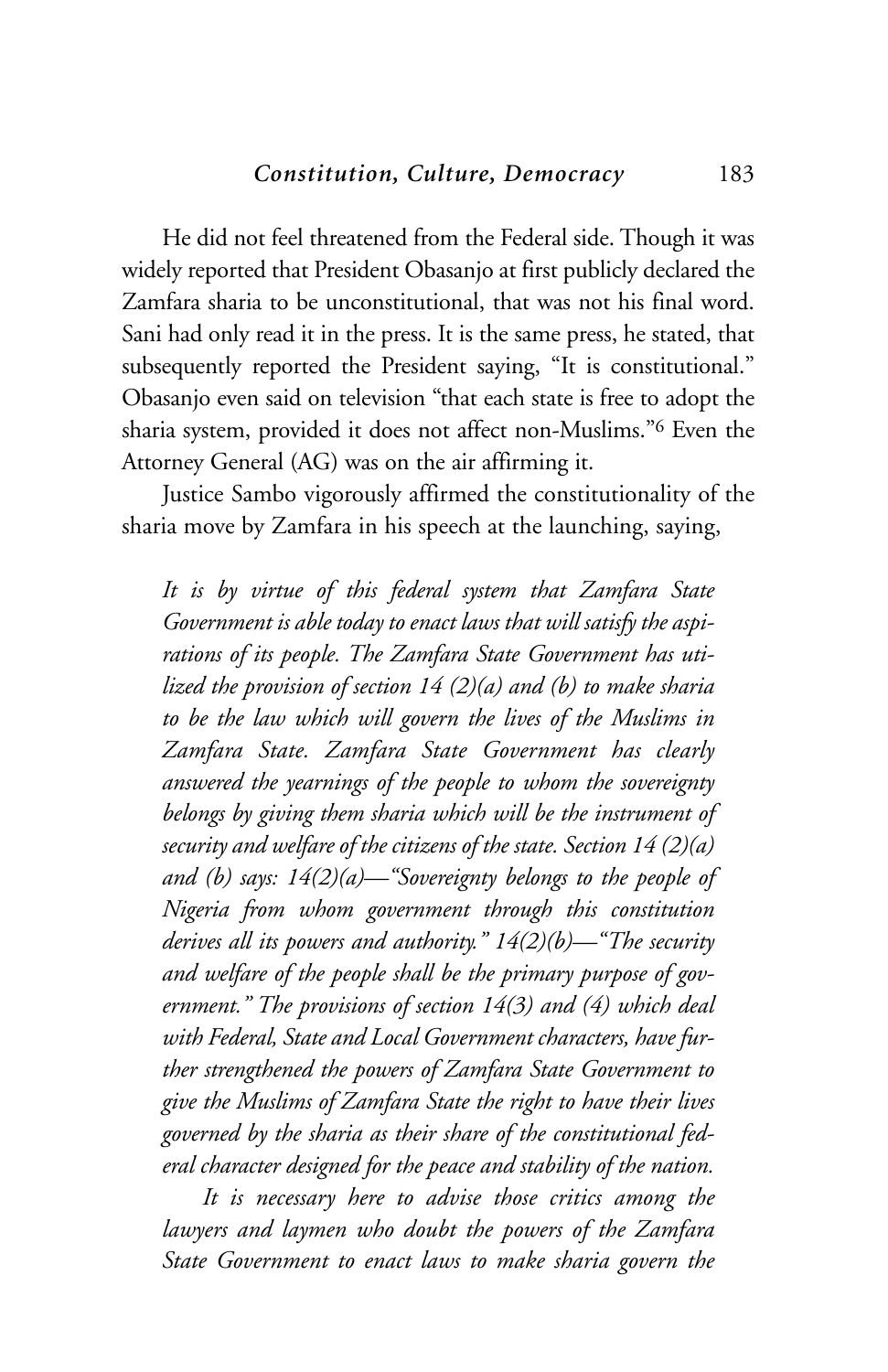He did not feel threatened from the Federal side. Though it was widely reported that President Obasanjo at first publicly declared the Zamfara sharia to be unconstitutional, that was not his final word. Sani had only read it in the press. It is the same press, he stated, that subsequently reported the President saying, "It is constitutional." Obasanjo even said on television "that each state is free to adopt the sharia system, provided it does not affect non-Muslims."6 Even the Attorney General (AG) was on the air affirming it.

Justice Sambo vigorously affirmed the constitutionality of the sharia move by Zamfara in his speech at the launching, saying,

*It is by virtue of this federal system that Zamfara State Government is able today to enact laws that will satisfy the aspirations of its people. The Zamfara State Government has utilized the provision of section 14 (2)(a) and (b) to make sharia to be the law which will govern the lives of the Muslims in Zamfara State. Zamfara State Government has clearly answered the yearnings of the people to whom the sovereignty belongs by giving them sharia which will be the instrument of security and welfare of the citizens of the state. Section 14 (2)(a) and (b) says: 14(2)(a)—"Sovereignty belongs to the people of Nigeria from whom government through this constitution derives all its powers and authority." 14(2)(b)—"The security and welfare of the people shall be the primary purpose of government." The provisions of section 14(3) and (4) which deal with Federal, State and Local Government characters, have further strengthened the powers of Zamfara State Government to give the Muslims of Zamfara State the right to have their lives governed by the sharia as their share of the constitutional federal character designed for the peace and stability of the nation.*

*It is necessary here to advise those critics among the lawyers and laymen who doubt the powers of the Zamfara State Government to enact laws to make sharia govern the*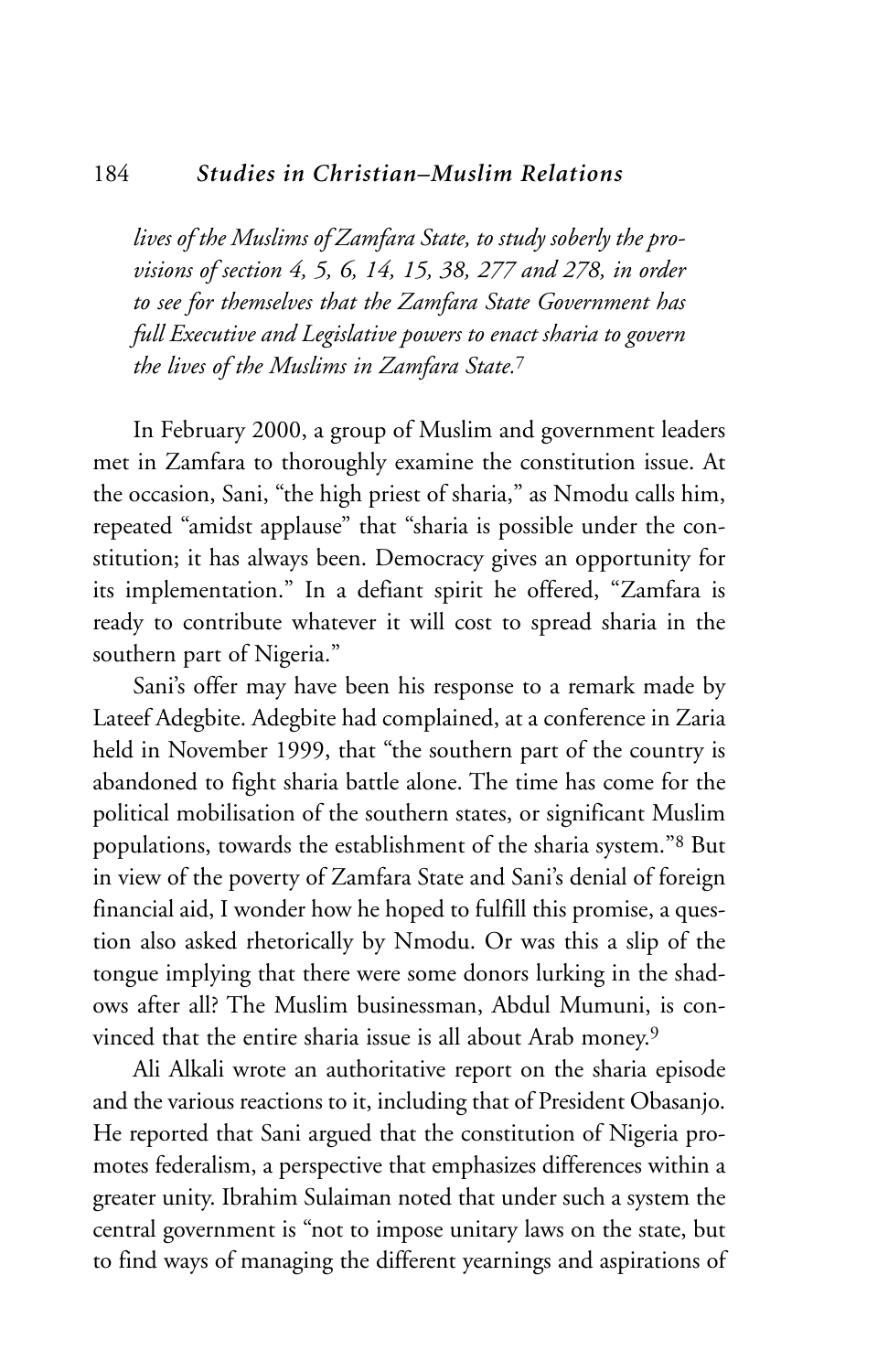#### 184 *Studies in Christian–Muslim Relations*

*lives of the Muslims of Zamfara State, to study soberly the provisions of section 4, 5, 6, 14, 15, 38, 277 and 278, in order to see for themselves that the Zamfara State Government has full Executive and Legislative powers to enact sharia to govern the lives of the Muslims in Zamfara State.*<sup>7</sup>

In February 2000, a group of Muslim and government leaders met in Zamfara to thoroughly examine the constitution issue. At the occasion, Sani, "the high priest of sharia," as Nmodu calls him, repeated "amidst applause" that "sharia is possible under the constitution; it has always been. Democracy gives an opportunity for its implementation." In a defiant spirit he offered, "Zamfara is ready to contribute whatever it will cost to spread sharia in the southern part of Nigeria."

Sani's offer may have been his response to a remark made by Lateef Adegbite. Adegbite had complained, at a conference in Zaria held in November 1999, that "the southern part of the country is abandoned to fight sharia battle alone. The time has come for the political mobilisation of the southern states, or significant Muslim populations, towards the establishment of the sharia system."8 But in view of the poverty of Zamfara State and Sani's denial of foreign financial aid, I wonder how he hoped to fulfill this promise, a question also asked rhetorically by Nmodu. Or was this a slip of the tongue implying that there were some donors lurking in the shadows after all? The Muslim businessman, Abdul Mumuni, is convinced that the entire sharia issue is all about Arab money.9

Ali Alkali wrote an authoritative report on the sharia episode and the various reactions to it, including that of President Obasanjo. He reported that Sani argued that the constitution of Nigeria promotes federalism, a perspective that emphasizes differences within a greater unity. Ibrahim Sulaiman noted that under such a system the central government is "not to impose unitary laws on the state, but to find ways of managing the different yearnings and aspirations of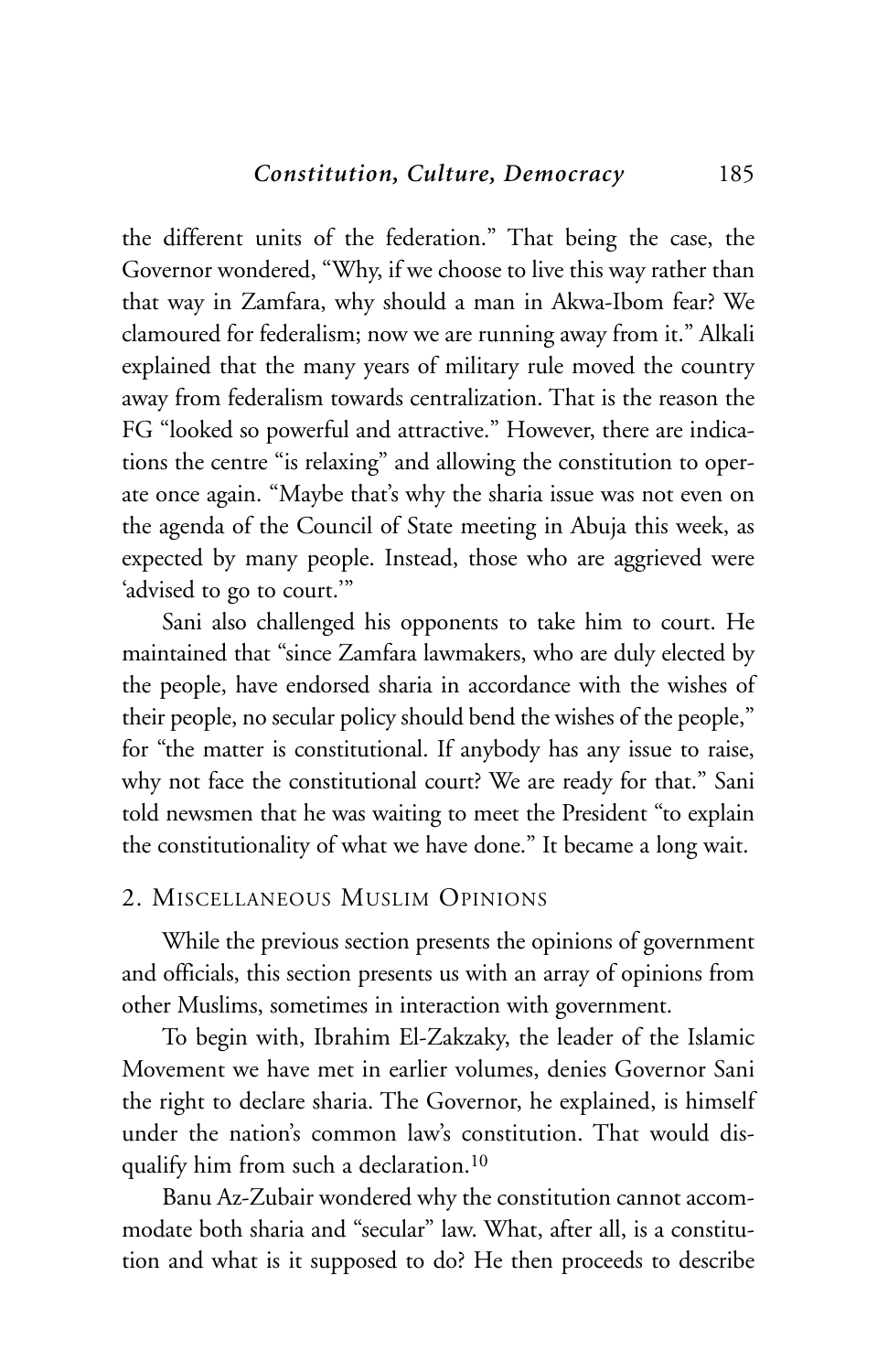the different units of the federation." That being the case, the Governor wondered, "Why, if we choose to live this way rather than that way in Zamfara, why should a man in Akwa-Ibom fear? We clamoured for federalism; now we are running away from it." Alkali explained that the many years of military rule moved the country away from federalism towards centralization. That is the reason the FG "looked so powerful and attractive." However, there are indications the centre "is relaxing" and allowing the constitution to operate once again. "Maybe that's why the sharia issue was not even on the agenda of the Council of State meeting in Abuja this week, as expected by many people. Instead, those who are aggrieved were 'advised to go to court.'"

Sani also challenged his opponents to take him to court. He maintained that "since Zamfara lawmakers, who are duly elected by the people, have endorsed sharia in accordance with the wishes of their people, no secular policy should bend the wishes of the people," for "the matter is constitutional. If anybody has any issue to raise, why not face the constitutional court? We are ready for that." Sani told newsmen that he was waiting to meet the President "to explain the constitutionality of what we have done." It became a long wait.

#### 2. MISCELLANEOUS MUSLIM OPINIONS

While the previous section presents the opinions of government and officials, this section presents us with an array of opinions from other Muslims, sometimes in interaction with government.

To begin with, Ibrahim El-Zakzaky, the leader of the Islamic Movement we have met in earlier volumes, denies Governor Sani the right to declare sharia. The Governor, he explained, is himself under the nation's common law's constitution. That would disqualify him from such a declaration.10

Banu Az-Zubair wondered why the constitution cannot accommodate both sharia and "secular" law. What, after all, is a constitution and what is it supposed to do? He then proceeds to describe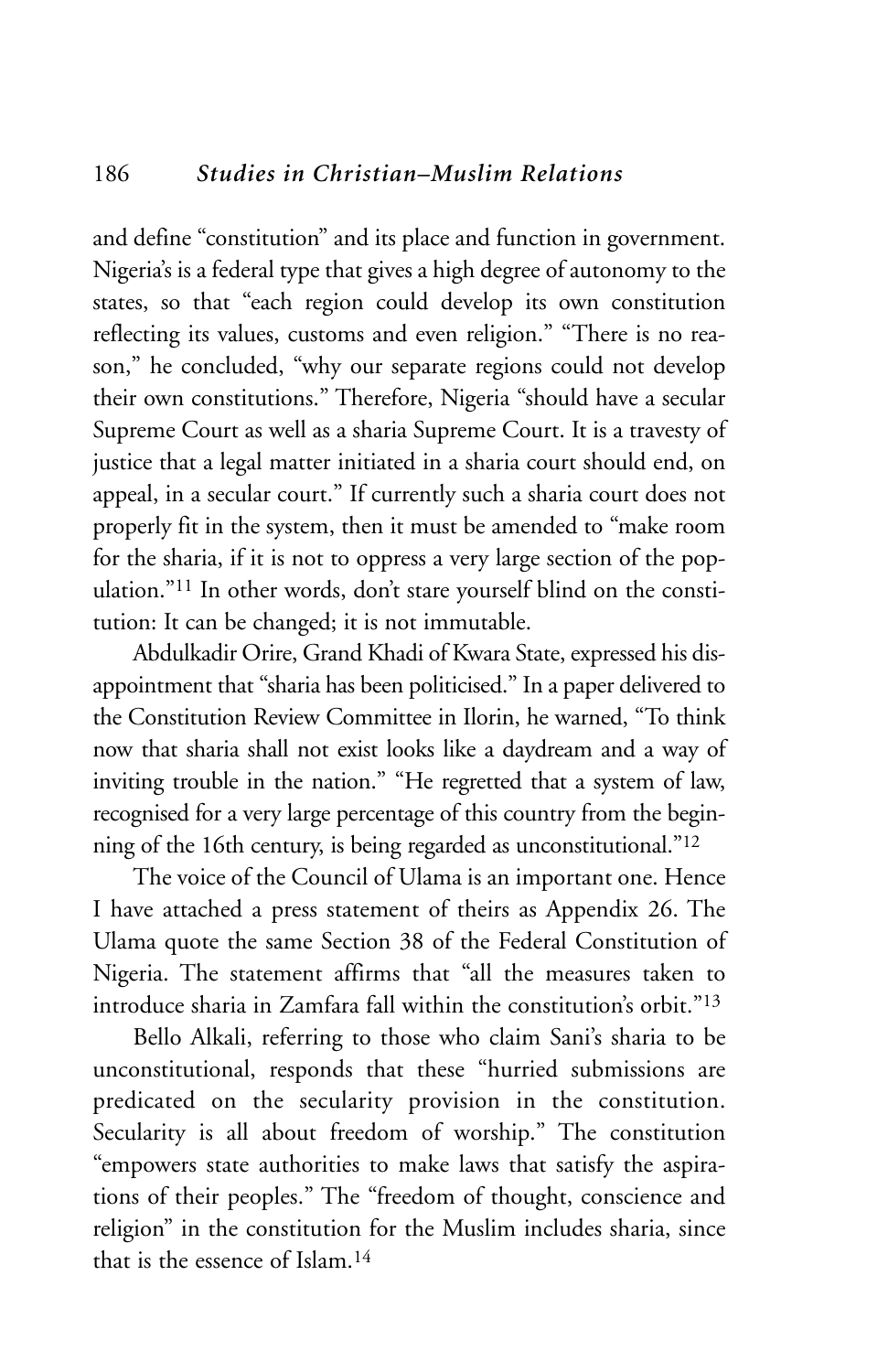and define "constitution" and its place and function in government. Nigeria's is a federal type that gives a high degree of autonomy to the states, so that "each region could develop its own constitution reflecting its values, customs and even religion." "There is no reason," he concluded, "why our separate regions could not develop their own constitutions." Therefore, Nigeria "should have a secular Supreme Court as well as a sharia Supreme Court. It is a travesty of justice that a legal matter initiated in a sharia court should end, on appeal, in a secular court." If currently such a sharia court does not properly fit in the system, then it must be amended to "make room for the sharia, if it is not to oppress a very large section of the population."11 In other words, don't stare yourself blind on the constitution: It can be changed; it is not immutable.

Abdulkadir Orire, Grand Khadi of Kwara State, expressed his disappointment that "sharia has been politicised." In a paper delivered to the Constitution Review Committee in Ilorin, he warned, "To think now that sharia shall not exist looks like a daydream and a way of inviting trouble in the nation." "He regretted that a system of law, recognised for a very large percentage of this country from the beginning of the 16th century, is being regarded as unconstitutional."12

The voice of the Council of Ulama is an important one. Hence I have attached a press statement of theirs as Appendix 26. The Ulama quote the same Section 38 of the Federal Constitution of Nigeria. The statement affirms that "all the measures taken to introduce sharia in Zamfara fall within the constitution's orbit."13

Bello Alkali, referring to those who claim Sani's sharia to be unconstitutional, responds that these "hurried submissions are predicated on the secularity provision in the constitution. Secularity is all about freedom of worship." The constitution "empowers state authorities to make laws that satisfy the aspirations of their peoples." The "freedom of thought, conscience and religion" in the constitution for the Muslim includes sharia, since that is the essence of Islam.14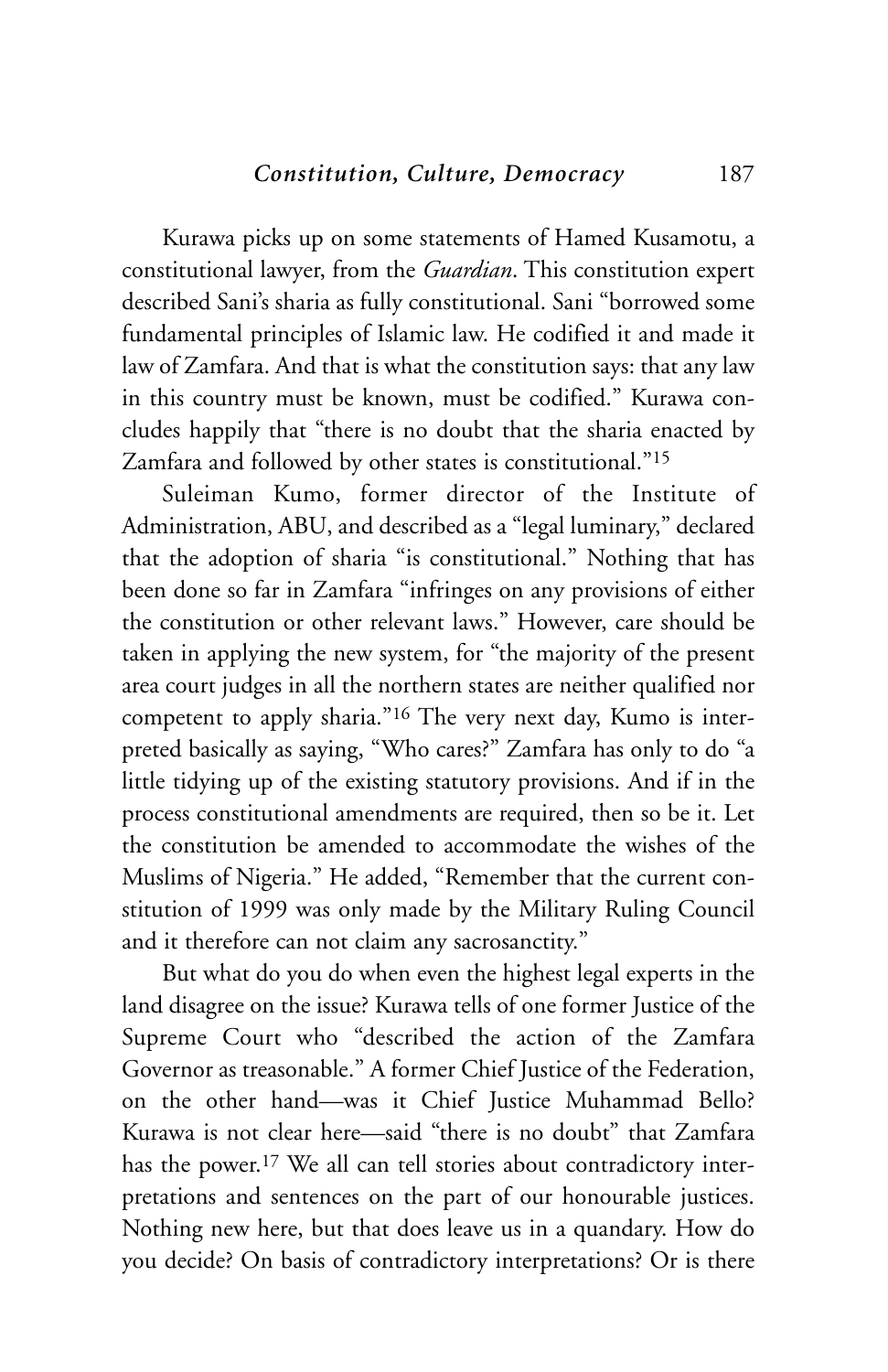Kurawa picks up on some statements of Hamed Kusamotu, a constitutional lawyer, from the *Guardian*. This constitution expert described Sani's sharia as fully constitutional. Sani "borrowed some fundamental principles of Islamic law. He codified it and made it law of Zamfara. And that is what the constitution says: that any law in this country must be known, must be codified." Kurawa concludes happily that "there is no doubt that the sharia enacted by Zamfara and followed by other states is constitutional."15

Suleiman Kumo, former director of the Institute of Administration, ABU, and described as a "legal luminary," declared that the adoption of sharia "is constitutional." Nothing that has been done so far in Zamfara "infringes on any provisions of either the constitution or other relevant laws." However, care should be taken in applying the new system, for "the majority of the present area court judges in all the northern states are neither qualified nor competent to apply sharia."16 The very next day, Kumo is interpreted basically as saying, "Who cares?" Zamfara has only to do "a little tidying up of the existing statutory provisions. And if in the process constitutional amendments are required, then so be it. Let the constitution be amended to accommodate the wishes of the Muslims of Nigeria." He added, "Remember that the current constitution of 1999 was only made by the Military Ruling Council and it therefore can not claim any sacrosanctity."

But what do you do when even the highest legal experts in the land disagree on the issue? Kurawa tells of one former Justice of the Supreme Court who "described the action of the Zamfara Governor as treasonable." A former Chief Justice of the Federation, on the other hand—was it Chief Justice Muhammad Bello? Kurawa is not clear here—said "there is no doubt" that Zamfara has the power.17 We all can tell stories about contradictory interpretations and sentences on the part of our honourable justices. Nothing new here, but that does leave us in a quandary. How do you decide? On basis of contradictory interpretations? Or is there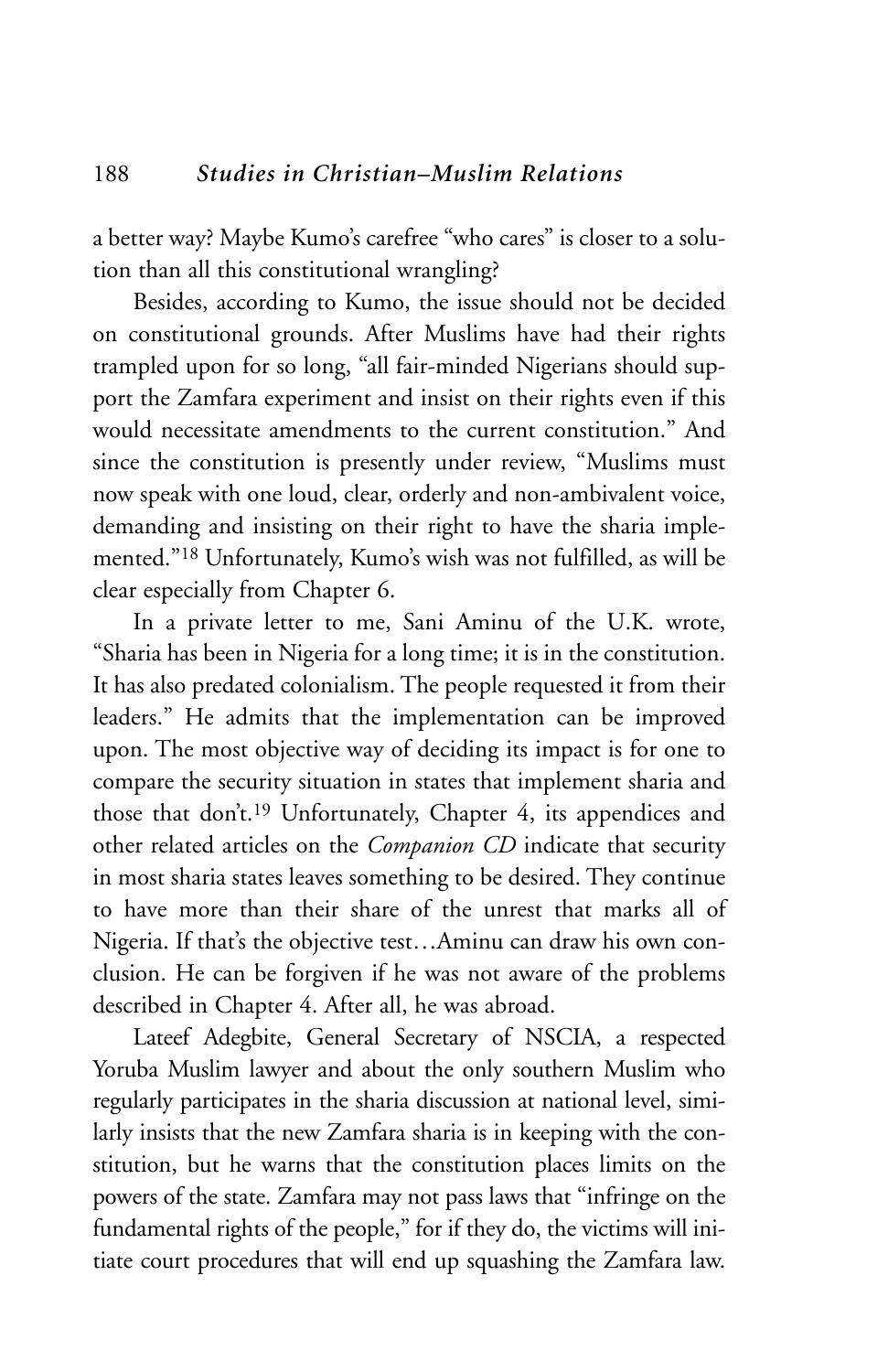a better way? Maybe Kumo's carefree "who cares" is closer to a solution than all this constitutional wrangling?

Besides, according to Kumo, the issue should not be decided on constitutional grounds. After Muslims have had their rights trampled upon for so long, "all fair-minded Nigerians should support the Zamfara experiment and insist on their rights even if this would necessitate amendments to the current constitution." And since the constitution is presently under review, "Muslims must now speak with one loud, clear, orderly and non-ambivalent voice, demanding and insisting on their right to have the sharia implemented."18 Unfortunately, Kumo's wish was not fulfilled, as will be clear especially from Chapter 6.

In a private letter to me, Sani Aminu of the U.K. wrote, "Sharia has been in Nigeria for a long time; it is in the constitution. It has also predated colonialism. The people requested it from their leaders." He admits that the implementation can be improved upon. The most objective way of deciding its impact is for one to compare the security situation in states that implement sharia and those that don't.19 Unfortunately, Chapter 4, its appendices and other related articles on the *Companion CD* indicate that security in most sharia states leaves something to be desired. They continue to have more than their share of the unrest that marks all of Nigeria. If that's the objective test…Aminu can draw his own conclusion. He can be forgiven if he was not aware of the problems described in Chapter 4. After all, he was abroad.

Lateef Adegbite, General Secretary of NSCIA, a respected Yoruba Muslim lawyer and about the only southern Muslim who regularly participates in the sharia discussion at national level, similarly insists that the new Zamfara sharia is in keeping with the constitution, but he warns that the constitution places limits on the powers of the state. Zamfara may not pass laws that "infringe on the fundamental rights of the people," for if they do, the victims will initiate court procedures that will end up squashing the Zamfara law.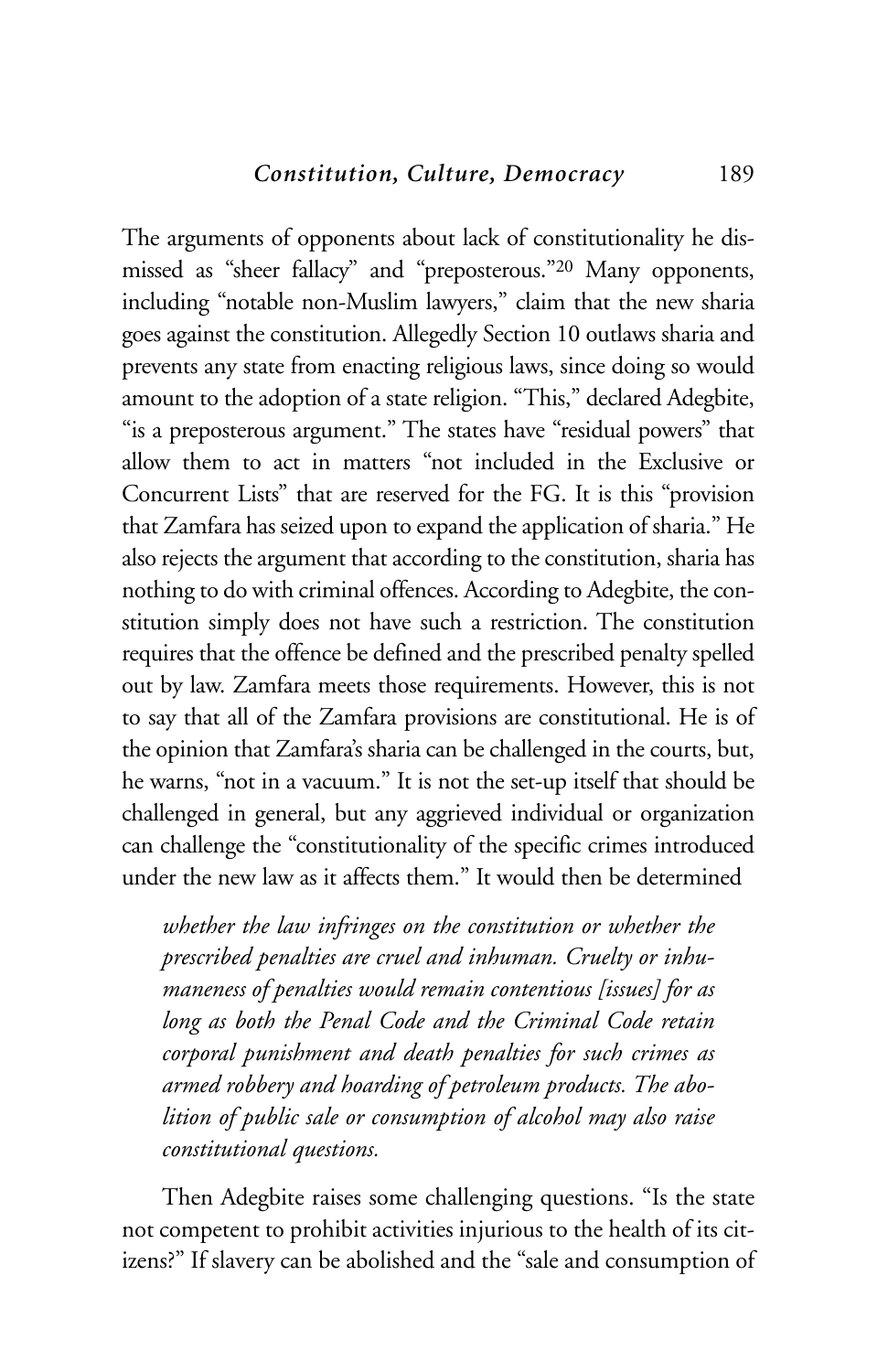The arguments of opponents about lack of constitutionality he dismissed as "sheer fallacy" and "preposterous."20 Many opponents, including "notable non-Muslim lawyers," claim that the new sharia goes against the constitution. Allegedly Section 10 outlaws sharia and prevents any state from enacting religious laws, since doing so would amount to the adoption of a state religion. "This," declared Adegbite, "is a preposterous argument." The states have "residual powers" that allow them to act in matters "not included in the Exclusive or Concurrent Lists" that are reserved for the FG. It is this "provision that Zamfara has seized upon to expand the application of sharia." He also rejects the argument that according to the constitution, sharia has nothing to do with criminal offences. According to Adegbite, the constitution simply does not have such a restriction. The constitution requires that the offence be defined and the prescribed penalty spelled out by law. Zamfara meets those requirements. However, this is not to say that all of the Zamfara provisions are constitutional. He is of the opinion that Zamfara's sharia can be challenged in the courts, but, he warns, "not in a vacuum." It is not the set-up itself that should be challenged in general, but any aggrieved individual or organization can challenge the "constitutionality of the specific crimes introduced under the new law as it affects them." It would then be determined

*whether the law infringes on the constitution or whether the prescribed penalties are cruel and inhuman. Cruelty or inhumaneness of penalties would remain contentious [issues] for as long as both the Penal Code and the Criminal Code retain corporal punishment and death penalties for such crimes as armed robbery and hoarding of petroleum products. The abolition of public sale or consumption of alcohol may also raise constitutional questions.*

Then Adegbite raises some challenging questions. "Is the state not competent to prohibit activities injurious to the health of its citizens?" If slavery can be abolished and the "sale and consumption of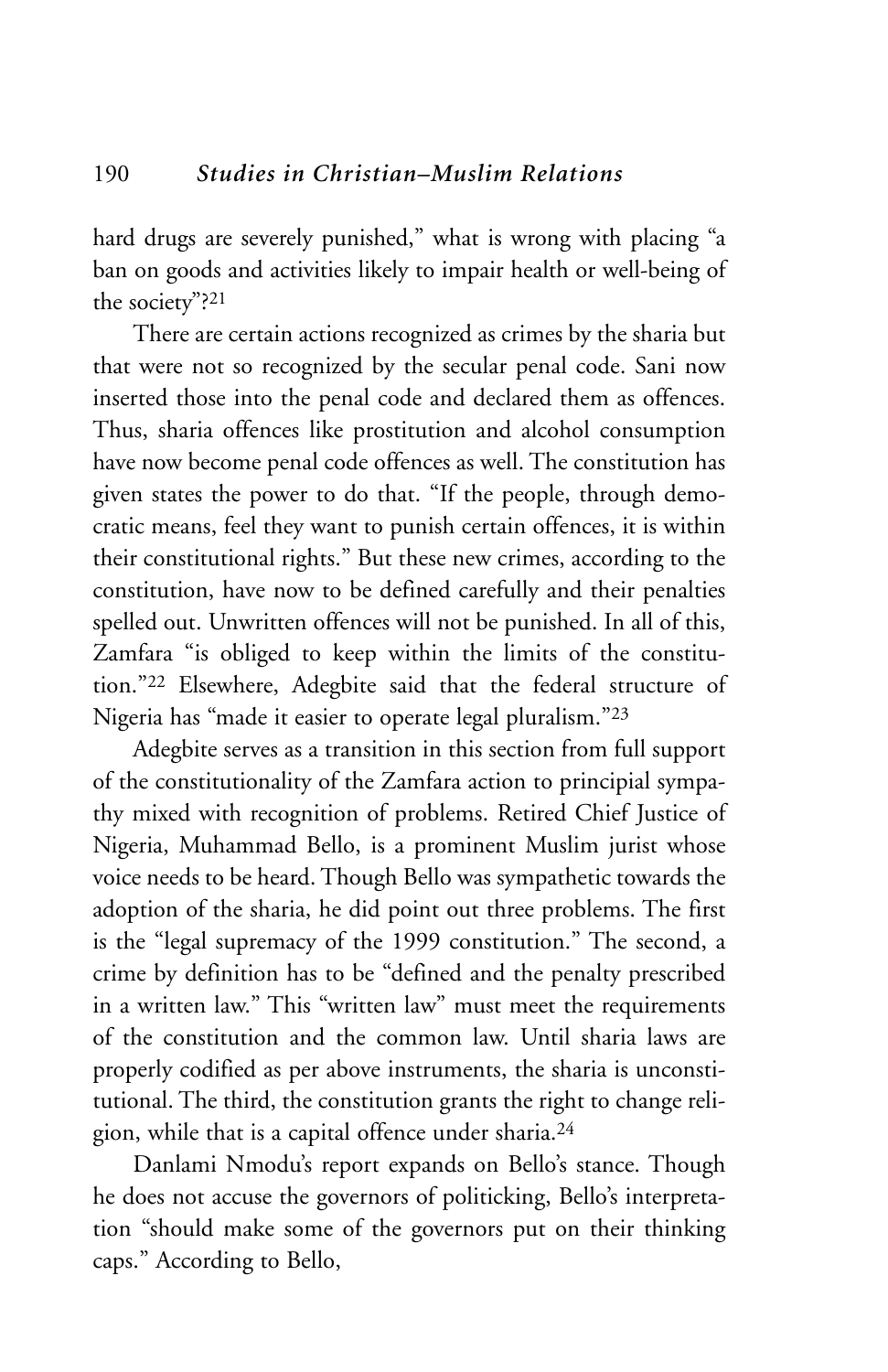hard drugs are severely punished," what is wrong with placing "a ban on goods and activities likely to impair health or well-being of the society"?21

There are certain actions recognized as crimes by the sharia but that were not so recognized by the secular penal code. Sani now inserted those into the penal code and declared them as offences. Thus, sharia offences like prostitution and alcohol consumption have now become penal code offences as well. The constitution has given states the power to do that. "If the people, through democratic means, feel they want to punish certain offences, it is within their constitutional rights." But these new crimes, according to the constitution, have now to be defined carefully and their penalties spelled out. Unwritten offences will not be punished. In all of this, Zamfara "is obliged to keep within the limits of the constitution."22 Elsewhere, Adegbite said that the federal structure of Nigeria has "made it easier to operate legal pluralism."23

Adegbite serves as a transition in this section from full support of the constitutionality of the Zamfara action to principial sympathy mixed with recognition of problems. Retired Chief Justice of Nigeria, Muhammad Bello, is a prominent Muslim jurist whose voice needs to be heard. Though Bello was sympathetic towards the adoption of the sharia, he did point out three problems. The first is the "legal supremacy of the 1999 constitution." The second, a crime by definition has to be "defined and the penalty prescribed in a written law." This "written law" must meet the requirements of the constitution and the common law. Until sharia laws are properly codified as per above instruments, the sharia is unconstitutional. The third, the constitution grants the right to change religion, while that is a capital offence under sharia.24

Danlami Nmodu's report expands on Bello's stance. Though he does not accuse the governors of politicking, Bello's interpretation "should make some of the governors put on their thinking caps." According to Bello,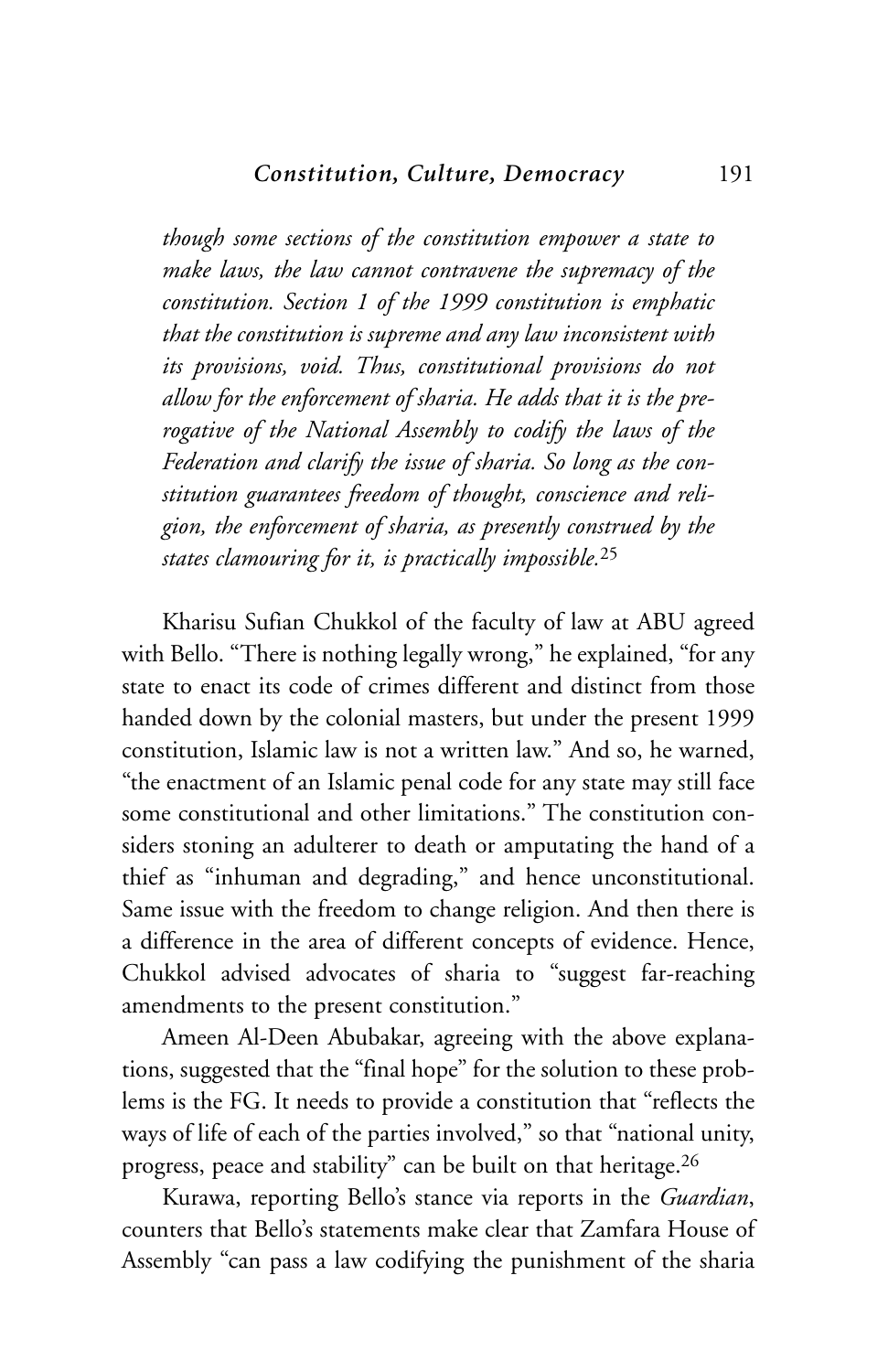*though some sections of the constitution empower a state to make laws, the law cannot contravene the supremacy of the constitution. Section 1 of the 1999 constitution is emphatic that the constitution is supreme and any law inconsistent with its provisions, void. Thus, constitutional provisions do not allow for the enforcement of sharia. He adds that it is the prerogative of the National Assembly to codify the laws of the Federation and clarify the issue of sharia. So long as the constitution guarantees freedom of thought, conscience and religion, the enforcement of sharia, as presently construed by the states clamouring for it, is practically impossible.*<sup>25</sup>

Kharisu Sufian Chukkol of the faculty of law at ABU agreed with Bello. "There is nothing legally wrong," he explained, "for any state to enact its code of crimes different and distinct from those handed down by the colonial masters, but under the present 1999 constitution, Islamic law is not a written law." And so, he warned, "the enactment of an Islamic penal code for any state may still face some constitutional and other limitations." The constitution considers stoning an adulterer to death or amputating the hand of a thief as "inhuman and degrading," and hence unconstitutional. Same issue with the freedom to change religion. And then there is a difference in the area of different concepts of evidence. Hence, Chukkol advised advocates of sharia to "suggest far-reaching amendments to the present constitution."

Ameen Al-Deen Abubakar, agreeing with the above explanations, suggested that the "final hope" for the solution to these problems is the FG. It needs to provide a constitution that "reflects the ways of life of each of the parties involved," so that "national unity, progress, peace and stability" can be built on that heritage.26

Kurawa, reporting Bello's stance via reports in the *Guardian*, counters that Bello's statements make clear that Zamfara House of Assembly "can pass a law codifying the punishment of the sharia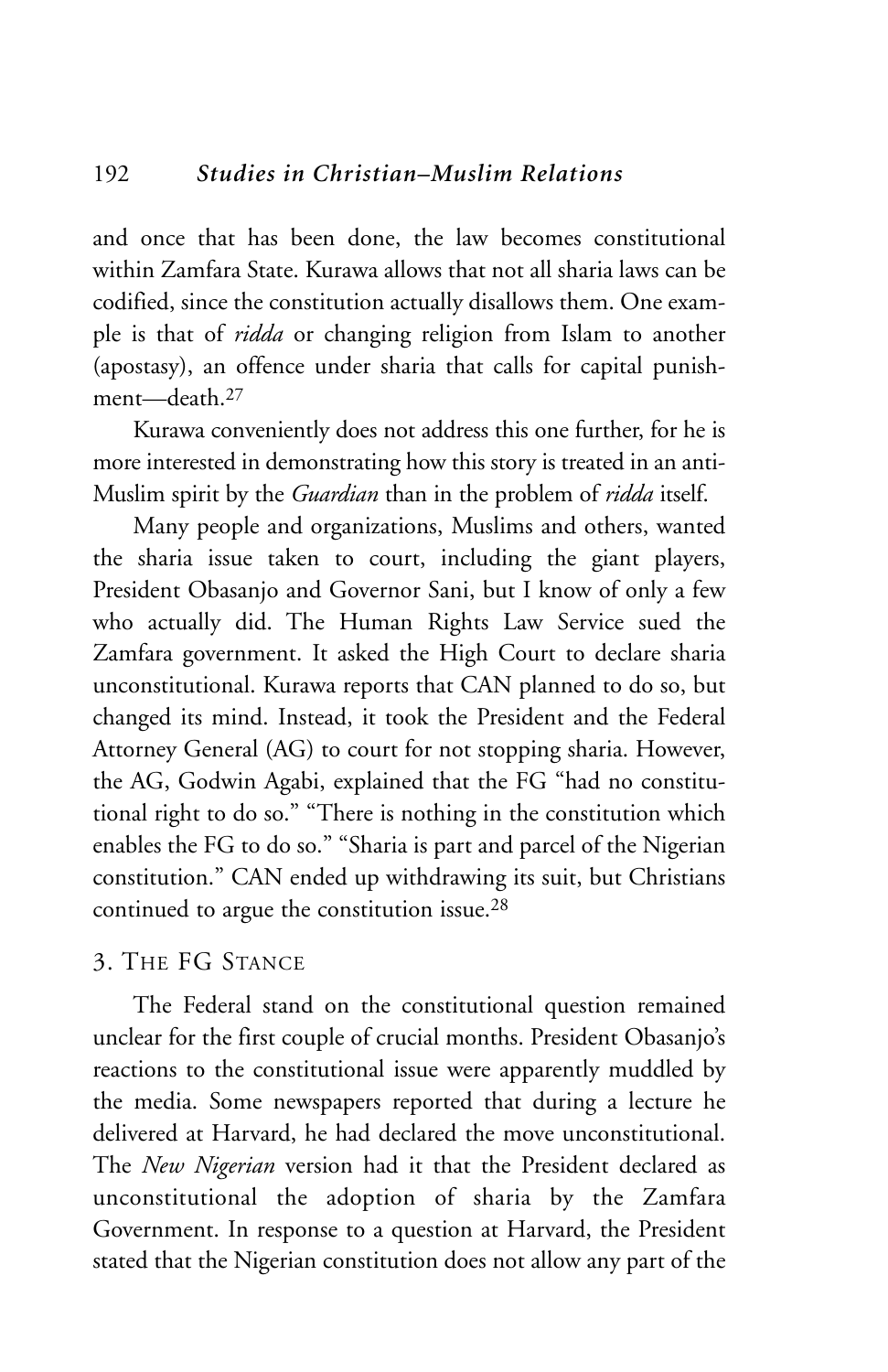and once that has been done, the law becomes constitutional within Zamfara State. Kurawa allows that not all sharia laws can be codified, since the constitution actually disallows them. One example is that of *ridda* or changing religion from Islam to another (apostasy), an offence under sharia that calls for capital punishment—death 27

Kurawa conveniently does not address this one further, for he is more interested in demonstrating how this story is treated in an anti-Muslim spirit by the *Guardian* than in the problem of *ridda* itself.

Many people and organizations, Muslims and others, wanted the sharia issue taken to court, including the giant players, President Obasanjo and Governor Sani, but I know of only a few who actually did. The Human Rights Law Service sued the Zamfara government. It asked the High Court to declare sharia unconstitutional. Kurawa reports that CAN planned to do so, but changed its mind. Instead, it took the President and the Federal Attorney General (AG) to court for not stopping sharia. However, the AG, Godwin Agabi, explained that the FG "had no constitutional right to do so." "There is nothing in the constitution which enables the FG to do so." "Sharia is part and parcel of the Nigerian constitution." CAN ended up withdrawing its suit, but Christians continued to argue the constitution issue.28

# 3. THE FG STANCE

The Federal stand on the constitutional question remained unclear for the first couple of crucial months. President Obasanjo's reactions to the constitutional issue were apparently muddled by the media. Some newspapers reported that during a lecture he delivered at Harvard, he had declared the move unconstitutional. The *New Nigerian* version had it that the President declared as unconstitutional the adoption of sharia by the Zamfara Government. In response to a question at Harvard, the President stated that the Nigerian constitution does not allow any part of the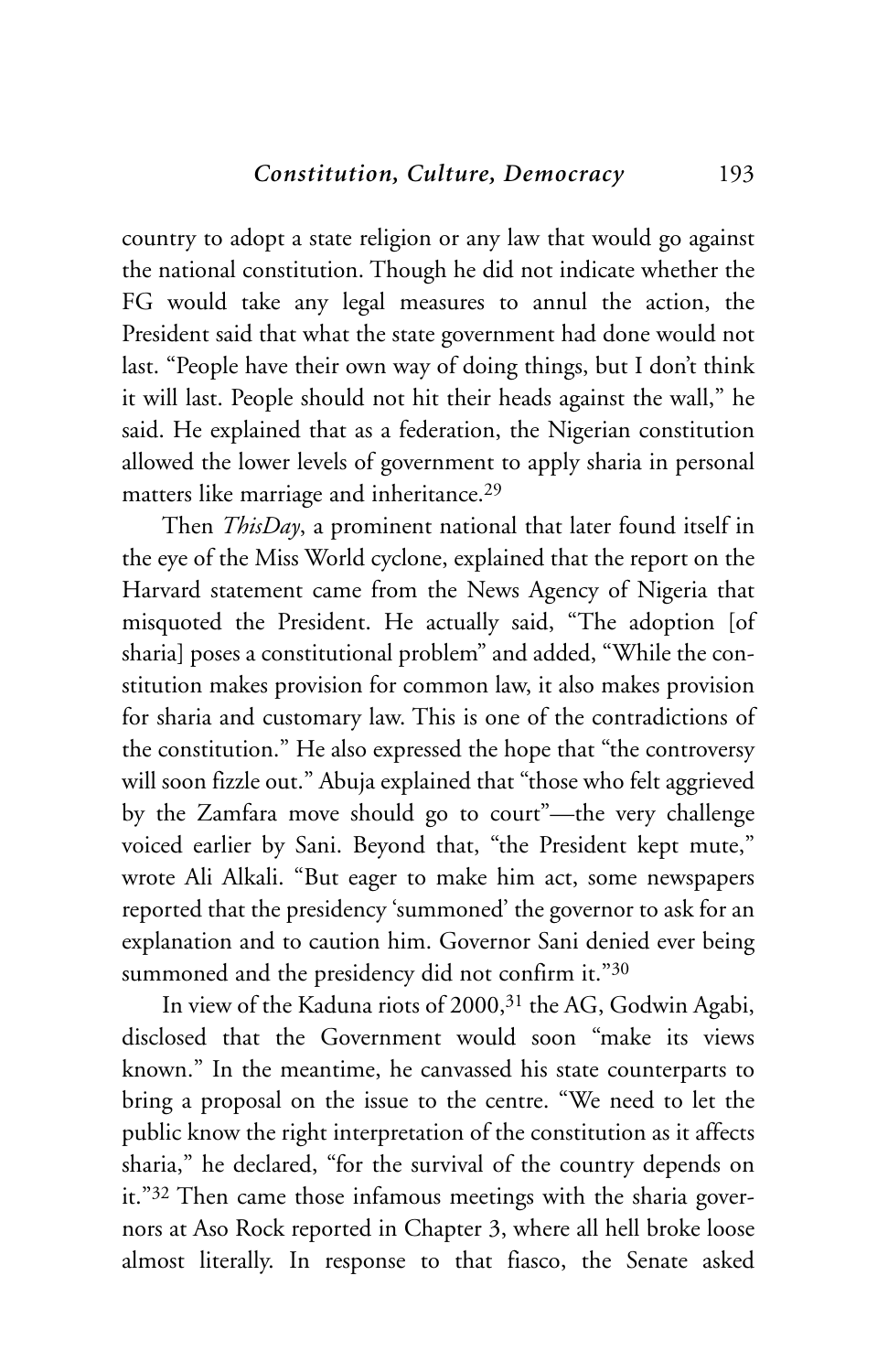country to adopt a state religion or any law that would go against the national constitution. Though he did not indicate whether the FG would take any legal measures to annul the action, the President said that what the state government had done would not last. "People have their own way of doing things, but I don't think it will last. People should not hit their heads against the wall," he said. He explained that as a federation, the Nigerian constitution allowed the lower levels of government to apply sharia in personal matters like marriage and inheritance.29

Then *ThisDay*, a prominent national that later found itself in the eye of the Miss World cyclone, explained that the report on the Harvard statement came from the News Agency of Nigeria that misquoted the President. He actually said, "The adoption [of sharia] poses a constitutional problem" and added, "While the constitution makes provision for common law, it also makes provision for sharia and customary law. This is one of the contradictions of the constitution." He also expressed the hope that "the controversy will soon fizzle out." Abuja explained that "those who felt aggrieved by the Zamfara move should go to court"—the very challenge voiced earlier by Sani. Beyond that, "the President kept mute," wrote Ali Alkali. "But eager to make him act, some newspapers reported that the presidency 'summoned' the governor to ask for an explanation and to caution him. Governor Sani denied ever being summoned and the presidency did not confirm it."30

In view of the Kaduna riots of 2000,31 the AG, Godwin Agabi, disclosed that the Government would soon "make its views known." In the meantime, he canvassed his state counterparts to bring a proposal on the issue to the centre. "We need to let the public know the right interpretation of the constitution as it affects sharia," he declared, "for the survival of the country depends on it."32 Then came those infamous meetings with the sharia governors at Aso Rock reported in Chapter 3, where all hell broke loose almost literally. In response to that fiasco, the Senate asked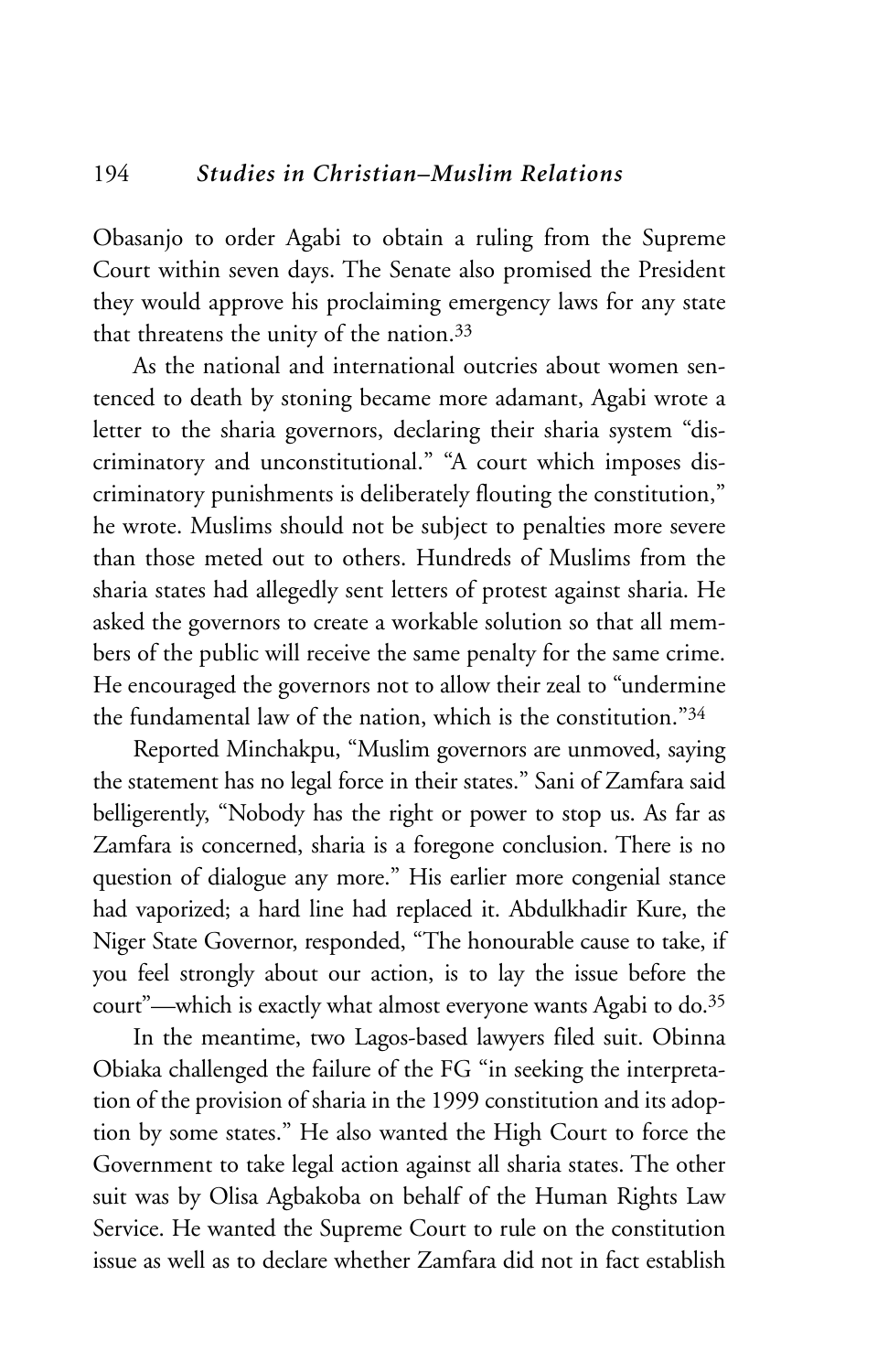Obasanjo to order Agabi to obtain a ruling from the Supreme Court within seven days. The Senate also promised the President they would approve his proclaiming emergency laws for any state that threatens the unity of the nation.33

As the national and international outcries about women sentenced to death by stoning became more adamant, Agabi wrote a letter to the sharia governors, declaring their sharia system "discriminatory and unconstitutional." "A court which imposes discriminatory punishments is deliberately flouting the constitution," he wrote. Muslims should not be subject to penalties more severe than those meted out to others. Hundreds of Muslims from the sharia states had allegedly sent letters of protest against sharia. He asked the governors to create a workable solution so that all members of the public will receive the same penalty for the same crime. He encouraged the governors not to allow their zeal to "undermine the fundamental law of the nation, which is the constitution."34

Reported Minchakpu, "Muslim governors are unmoved, saying the statement has no legal force in their states." Sani of Zamfara said belligerently, "Nobody has the right or power to stop us. As far as Zamfara is concerned, sharia is a foregone conclusion. There is no question of dialogue any more." His earlier more congenial stance had vaporized; a hard line had replaced it. Abdulkhadir Kure, the Niger State Governor, responded, "The honourable cause to take, if you feel strongly about our action, is to lay the issue before the court"—which is exactly what almost everyone wants Agabi to do.35

In the meantime, two Lagos-based lawyers filed suit. Obinna Obiaka challenged the failure of the FG "in seeking the interpretation of the provision of sharia in the 1999 constitution and its adoption by some states." He also wanted the High Court to force the Government to take legal action against all sharia states. The other suit was by Olisa Agbakoba on behalf of the Human Rights Law Service. He wanted the Supreme Court to rule on the constitution issue as well as to declare whether Zamfara did not in fact establish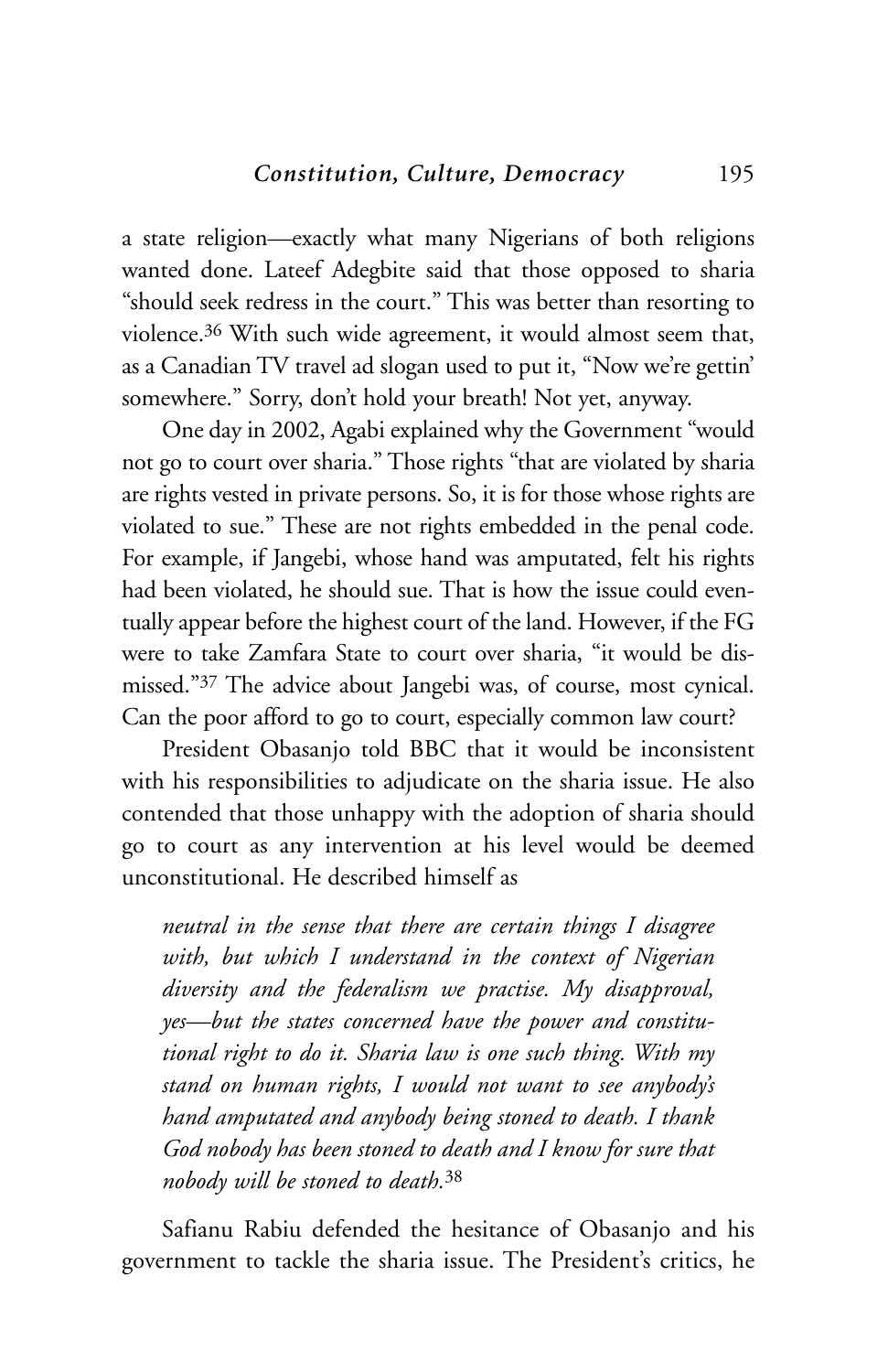a state religion—exactly what many Nigerians of both religions wanted done. Lateef Adegbite said that those opposed to sharia "should seek redress in the court." This was better than resorting to violence.36 With such wide agreement, it would almost seem that, as a Canadian TV travel ad slogan used to put it, "Now we're gettin' somewhere." Sorry, don't hold your breath! Not yet, anyway.

One day in 2002, Agabi explained why the Government "would not go to court over sharia." Those rights "that are violated by sharia are rights vested in private persons. So, it is for those whose rights are violated to sue." These are not rights embedded in the penal code. For example, if Jangebi, whose hand was amputated, felt his rights had been violated, he should sue. That is how the issue could eventually appear before the highest court of the land. However, if the FG were to take Zamfara State to court over sharia, "it would be dismissed."37 The advice about Jangebi was, of course, most cynical. Can the poor afford to go to court, especially common law court?

President Obasanjo told BBC that it would be inconsistent with his responsibilities to adjudicate on the sharia issue. He also contended that those unhappy with the adoption of sharia should go to court as any intervention at his level would be deemed unconstitutional. He described himself as

*neutral in the sense that there are certain things I disagree with, but which I understand in the context of Nigerian diversity and the federalism we practise. My disapproval, yes—but the states concerned have the power and constitutional right to do it. Sharia law is one such thing. With my stand on human rights, I would not want to see anybody's hand amputated and anybody being stoned to death. I thank God nobody has been stoned to death and I know for sure that nobody will be stoned to death.*<sup>38</sup>

Safianu Rabiu defended the hesitance of Obasanjo and his government to tackle the sharia issue. The President's critics, he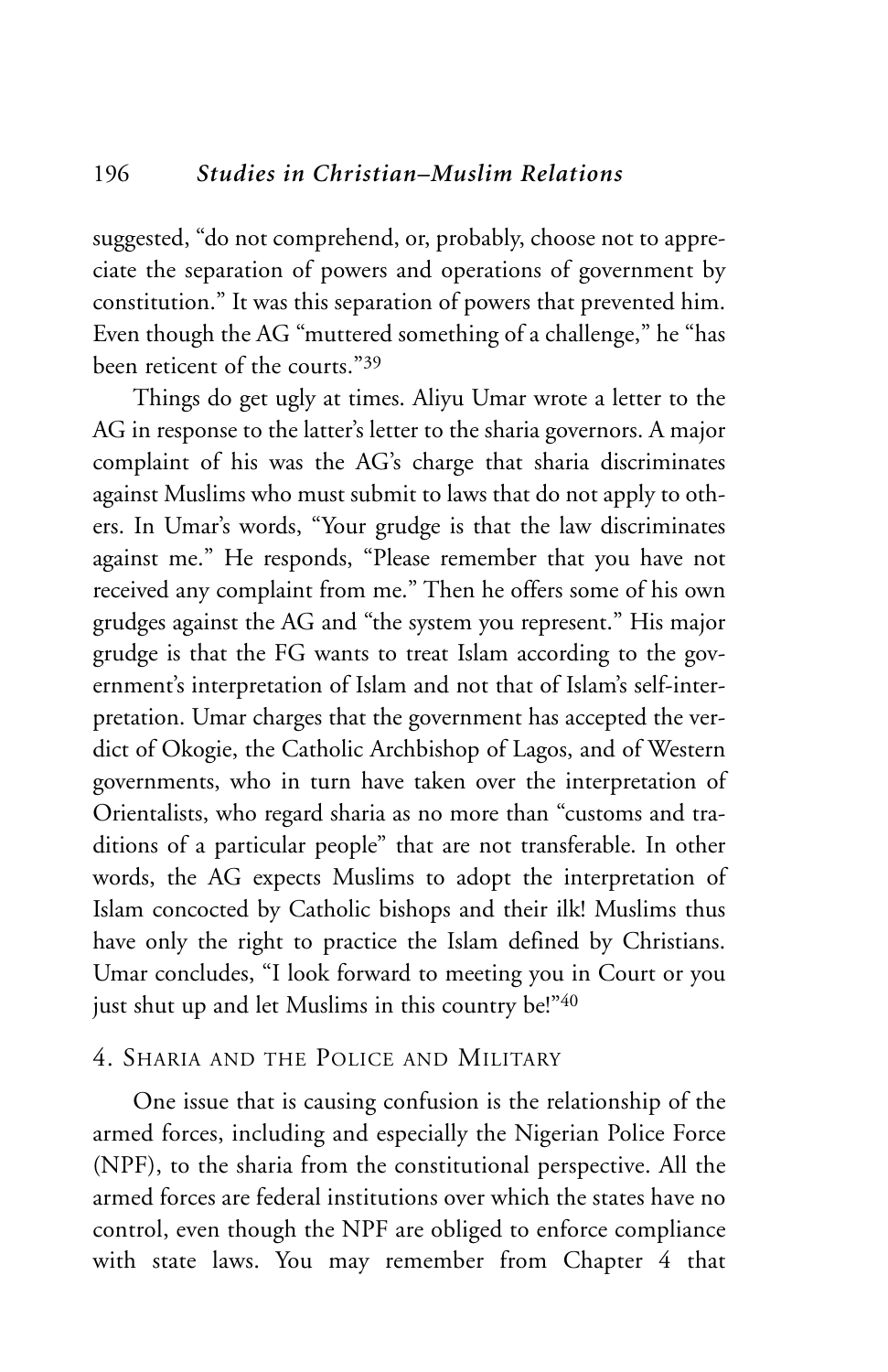suggested, "do not comprehend, or, probably, choose not to appreciate the separation of powers and operations of government by constitution." It was this separation of powers that prevented him. Even though the AG "muttered something of a challenge," he "has been reticent of the courts."39

Things do get ugly at times. Aliyu Umar wrote a letter to the AG in response to the latter's letter to the sharia governors. A major complaint of his was the AG's charge that sharia discriminates against Muslims who must submit to laws that do not apply to others. In Umar's words, "Your grudge is that the law discriminates against me." He responds, "Please remember that you have not received any complaint from me." Then he offers some of his own grudges against the AG and "the system you represent." His major grudge is that the FG wants to treat Islam according to the government's interpretation of Islam and not that of Islam's self-interpretation. Umar charges that the government has accepted the verdict of Okogie, the Catholic Archbishop of Lagos, and of Western governments, who in turn have taken over the interpretation of Orientalists, who regard sharia as no more than "customs and traditions of a particular people" that are not transferable. In other words, the AG expects Muslims to adopt the interpretation of Islam concocted by Catholic bishops and their ilk! Muslims thus have only the right to practice the Islam defined by Christians. Umar concludes, "I look forward to meeting you in Court or you just shut up and let Muslims in this country be!"40

## 4. SHARIA AND THE POLICE AND MILITARY

One issue that is causing confusion is the relationship of the armed forces, including and especially the Nigerian Police Force (NPF), to the sharia from the constitutional perspective. All the armed forces are federal institutions over which the states have no control, even though the NPF are obliged to enforce compliance with state laws. You may remember from Chapter 4 that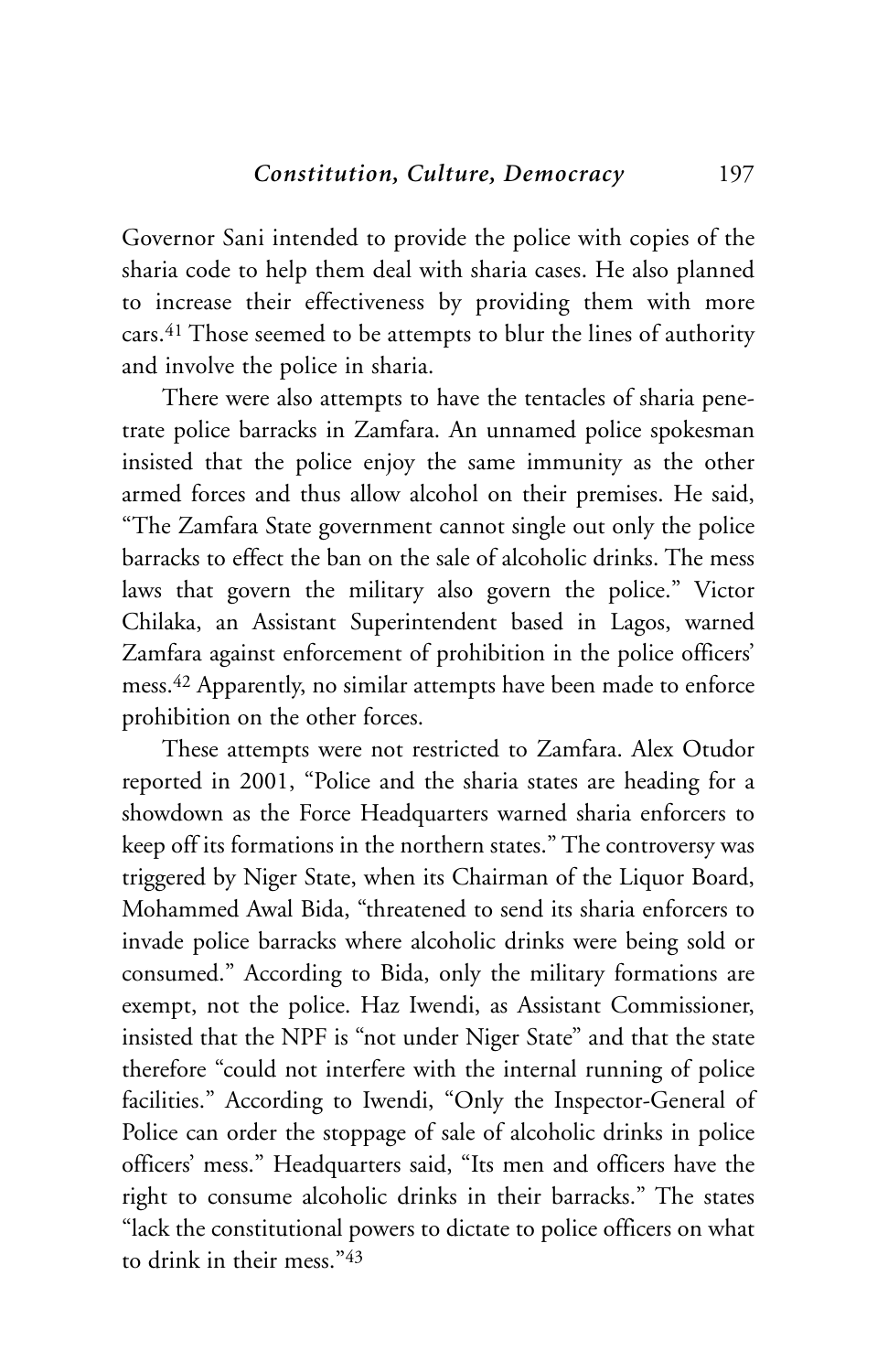Governor Sani intended to provide the police with copies of the sharia code to help them deal with sharia cases. He also planned to increase their effectiveness by providing them with more cars.41 Those seemed to be attempts to blur the lines of authority and involve the police in sharia.

There were also attempts to have the tentacles of sharia penetrate police barracks in Zamfara. An unnamed police spokesman insisted that the police enjoy the same immunity as the other armed forces and thus allow alcohol on their premises. He said, "The Zamfara State government cannot single out only the police barracks to effect the ban on the sale of alcoholic drinks. The mess laws that govern the military also govern the police." Victor Chilaka, an Assistant Superintendent based in Lagos, warned Zamfara against enforcement of prohibition in the police officers' mess.42 Apparently, no similar attempts have been made to enforce prohibition on the other forces.

These attempts were not restricted to Zamfara. Alex Otudor reported in 2001, "Police and the sharia states are heading for a showdown as the Force Headquarters warned sharia enforcers to keep off its formations in the northern states." The controversy was triggered by Niger State, when its Chairman of the Liquor Board, Mohammed Awal Bida, "threatened to send its sharia enforcers to invade police barracks where alcoholic drinks were being sold or consumed." According to Bida, only the military formations are exempt, not the police. Haz Iwendi, as Assistant Commissioner, insisted that the NPF is "not under Niger State" and that the state therefore "could not interfere with the internal running of police facilities." According to Iwendi, "Only the Inspector-General of Police can order the stoppage of sale of alcoholic drinks in police officers' mess." Headquarters said, "Its men and officers have the right to consume alcoholic drinks in their barracks." The states "lack the constitutional powers to dictate to police officers on what to drink in their mess "43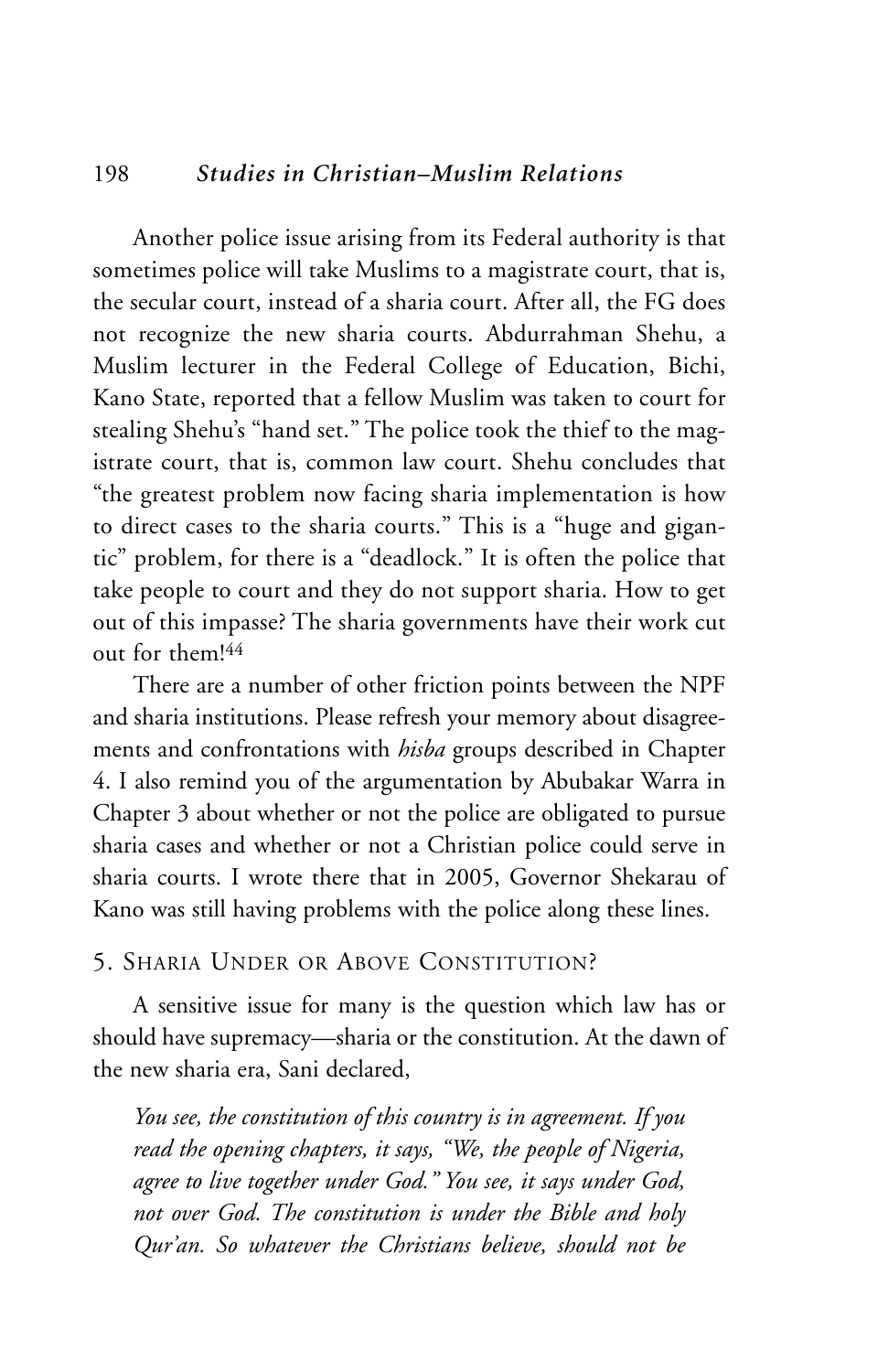## 198 *Studies in Christian–Muslim Relations*

Another police issue arising from its Federal authority is that sometimes police will take Muslims to a magistrate court, that is, the secular court, instead of a sharia court. After all, the FG does not recognize the new sharia courts. Abdurrahman Shehu, a Muslim lecturer in the Federal College of Education, Bichi, Kano State, reported that a fellow Muslim was taken to court for stealing Shehu's "hand set." The police took the thief to the magistrate court, that is, common law court. Shehu concludes that "the greatest problem now facing sharia implementation is how to direct cases to the sharia courts." This is a "huge and gigantic" problem, for there is a "deadlock." It is often the police that take people to court and they do not support sharia. How to get out of this impasse? The sharia governments have their work cut out for them!44

There are a number of other friction points between the NPF and sharia institutions. Please refresh your memory about disagreements and confrontations with *hisba* groups described in Chapter 4. I also remind you of the argumentation by Abubakar Warra in Chapter 3 about whether or not the police are obligated to pursue sharia cases and whether or not a Christian police could serve in sharia courts. I wrote there that in 2005, Governor Shekarau of Kano was still having problems with the police along these lines.

#### 5. SHARIA UNDER OR ABOVE CONSTITUTION?

A sensitive issue for many is the question which law has or should have supremacy—sharia or the constitution. At the dawn of the new sharia era, Sani declared,

*You see, the constitution of this country is in agreement. If you read the opening chapters, it says, "We, the people of Nigeria, agree to live together under God." You see, it says under God, not over God. The constitution is under the Bible and holy Qur'an. So whatever the Christians believe, should not be*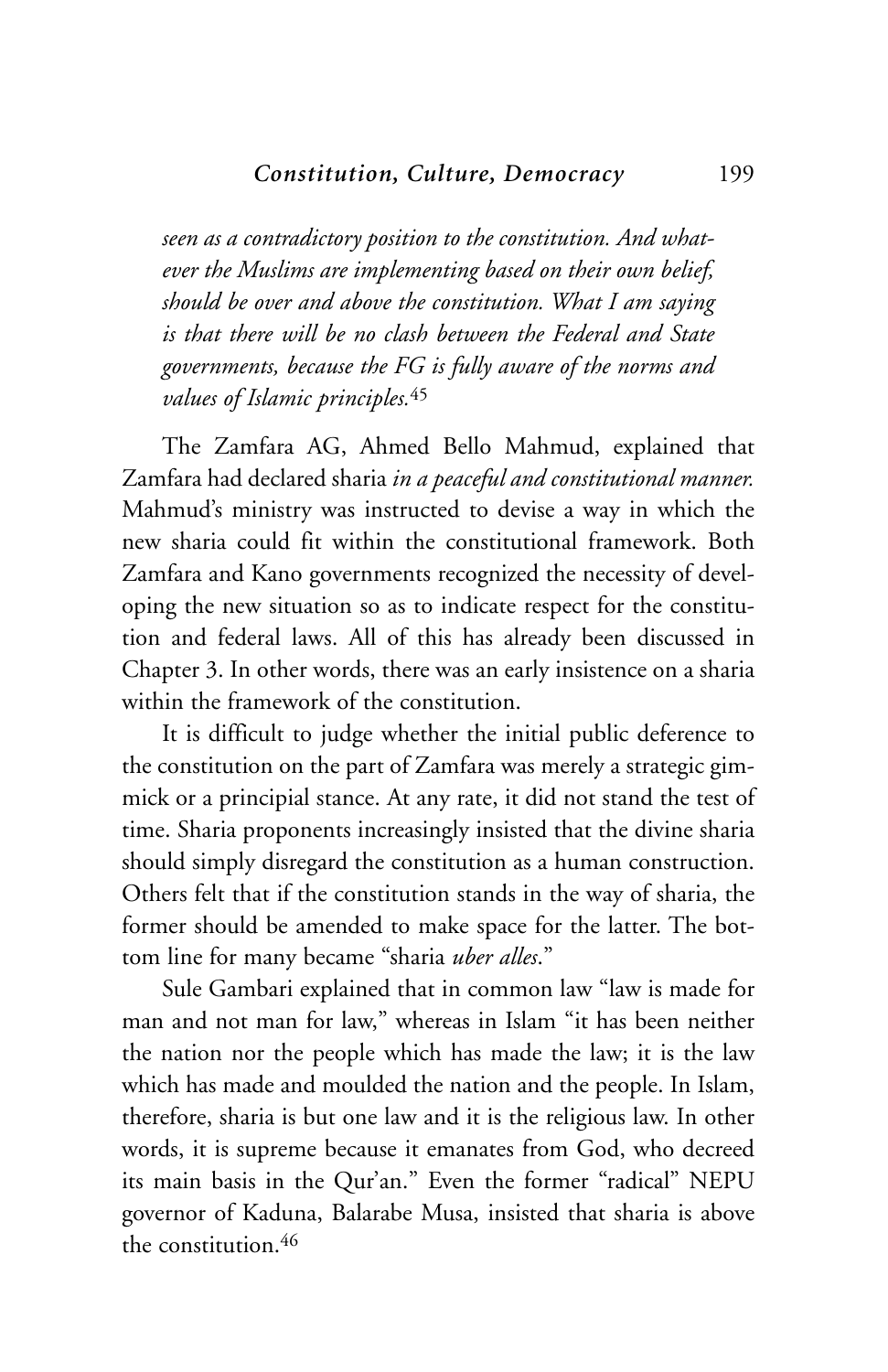*seen as a contradictory position to the constitution. And whatever the Muslims are implementing based on their own belief, should be over and above the constitution. What I am saying is that there will be no clash between the Federal and State governments, because the FG is fully aware of the norms and values of Islamic principles.*<sup>45</sup>

The Zamfara AG, Ahmed Bello Mahmud, explained that Zamfara had declared sharia *in a peaceful and constitutional manner.* Mahmud's ministry was instructed to devise a way in which the new sharia could fit within the constitutional framework. Both Zamfara and Kano governments recognized the necessity of developing the new situation so as to indicate respect for the constitution and federal laws. All of this has already been discussed in Chapter 3. In other words, there was an early insistence on a sharia within the framework of the constitution.

It is difficult to judge whether the initial public deference to the constitution on the part of Zamfara was merely a strategic gimmick or a principial stance. At any rate, it did not stand the test of time. Sharia proponents increasingly insisted that the divine sharia should simply disregard the constitution as a human construction. Others felt that if the constitution stands in the way of sharia, the former should be amended to make space for the latter. The bottom line for many became "sharia *uber alles*."

Sule Gambari explained that in common law "law is made for man and not man for law," whereas in Islam "it has been neither the nation nor the people which has made the law; it is the law which has made and moulded the nation and the people. In Islam, therefore, sharia is but one law and it is the religious law. In other words, it is supreme because it emanates from God, who decreed its main basis in the Qur'an." Even the former "radical" NEPU governor of Kaduna, Balarabe Musa, insisted that sharia is above the constitution.46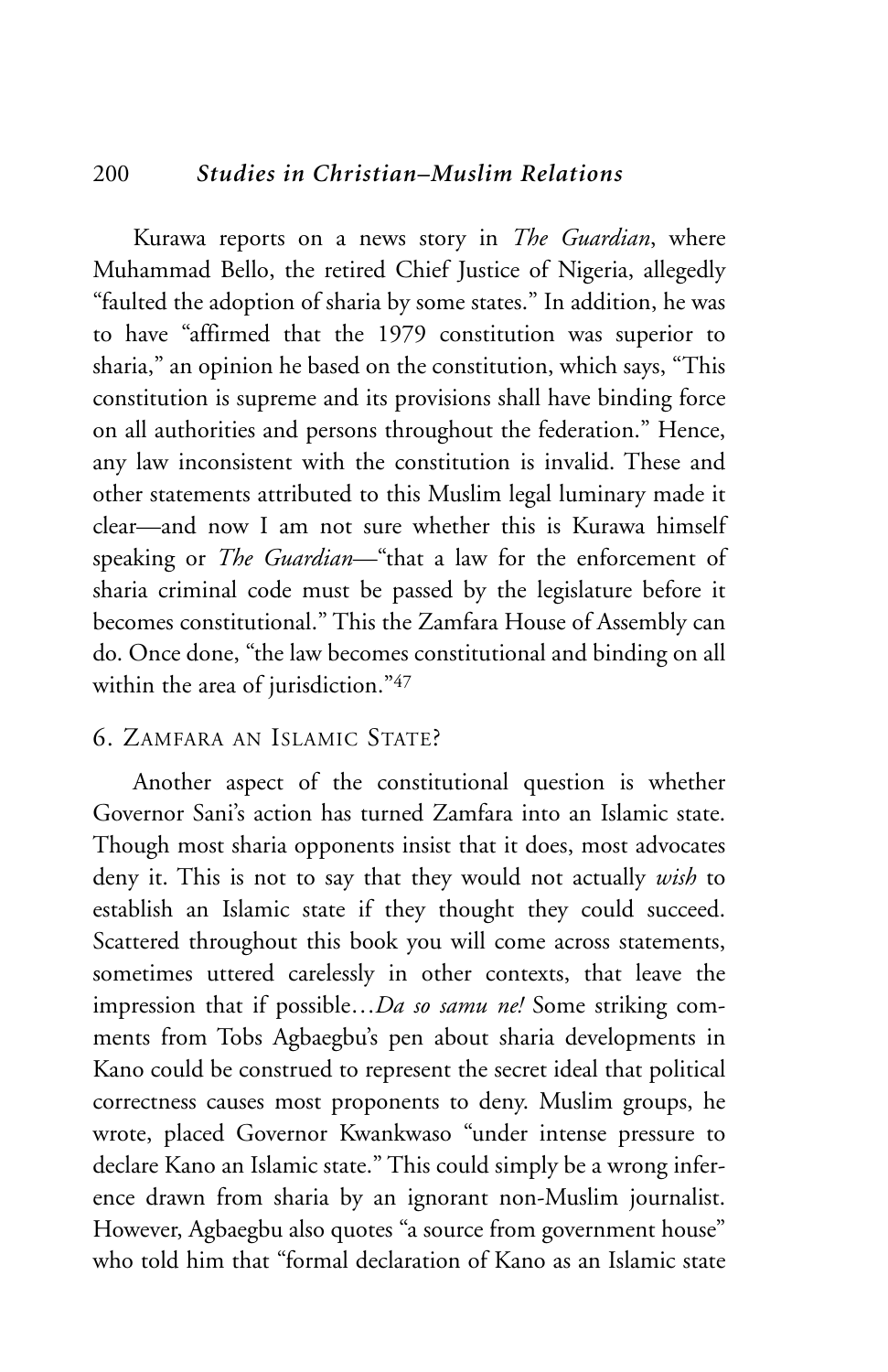## 200 *Studies in Christian–Muslim Relations*

Kurawa reports on a news story in *The Guardian*, where Muhammad Bello, the retired Chief Justice of Nigeria, allegedly "faulted the adoption of sharia by some states." In addition, he was to have "affirmed that the 1979 constitution was superior to sharia," an opinion he based on the constitution, which says, "This constitution is supreme and its provisions shall have binding force on all authorities and persons throughout the federation." Hence, any law inconsistent with the constitution is invalid. These and other statements attributed to this Muslim legal luminary made it clear—and now I am not sure whether this is Kurawa himself speaking or *The Guardian*—"that a law for the enforcement of sharia criminal code must be passed by the legislature before it becomes constitutional." This the Zamfara House of Assembly can do. Once done, "the law becomes constitutional and binding on all within the area of jurisdiction."47

# 6. ZAMFARA AN ISLAMIC STATE?

Another aspect of the constitutional question is whether Governor Sani's action has turned Zamfara into an Islamic state. Though most sharia opponents insist that it does, most advocates deny it. This is not to say that they would not actually *wish* to establish an Islamic state if they thought they could succeed. Scattered throughout this book you will come across statements, sometimes uttered carelessly in other contexts, that leave the impression that if possible…*Da so samu ne!* Some striking comments from Tobs Agbaegbu's pen about sharia developments in Kano could be construed to represent the secret ideal that political correctness causes most proponents to deny. Muslim groups, he wrote, placed Governor Kwankwaso "under intense pressure to declare Kano an Islamic state." This could simply be a wrong inference drawn from sharia by an ignorant non-Muslim journalist. However, Agbaegbu also quotes "a source from government house" who told him that "formal declaration of Kano as an Islamic state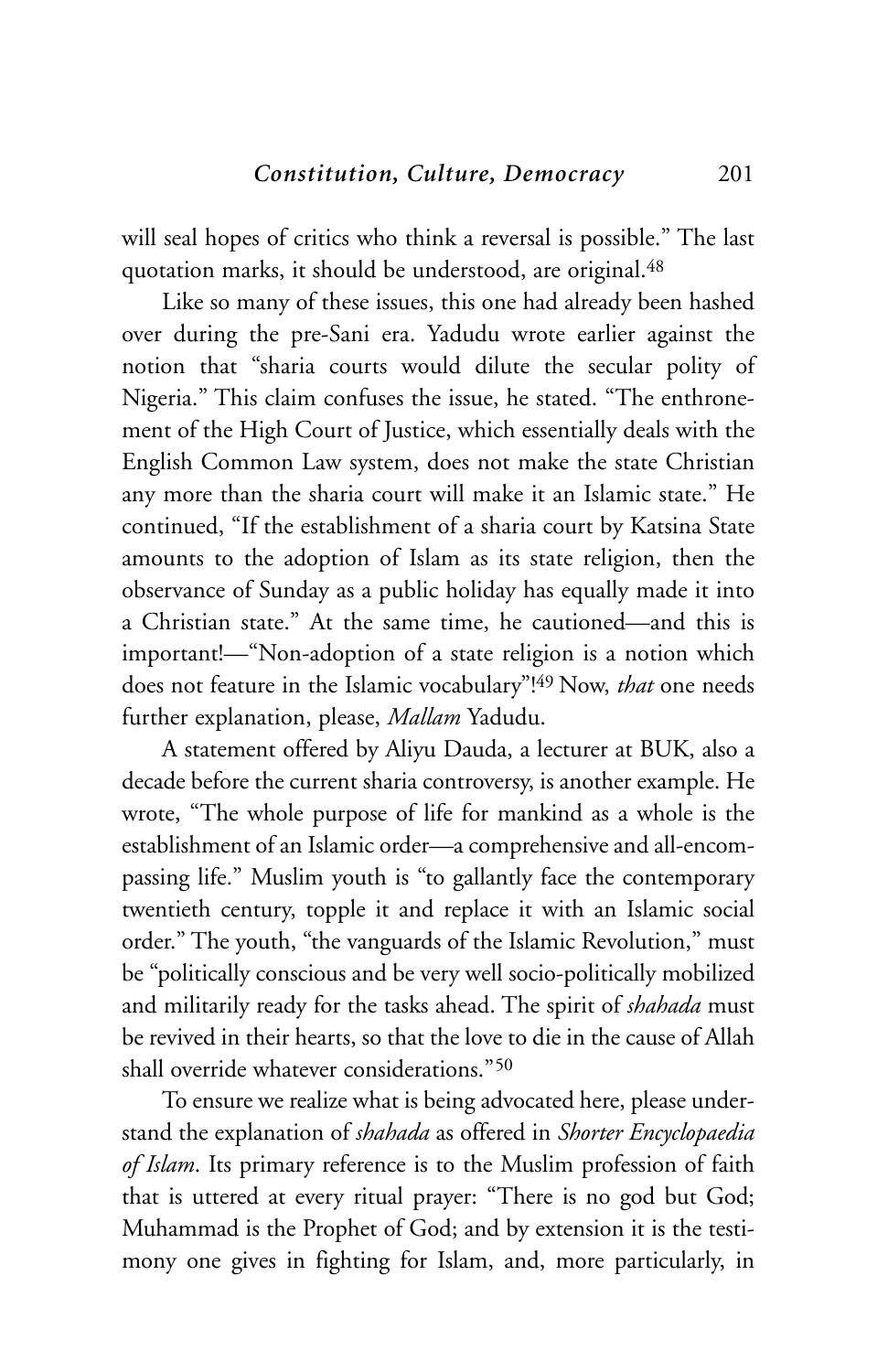will seal hopes of critics who think a reversal is possible." The last quotation marks, it should be understood, are original.<sup>48</sup>

Like so many of these issues, this one had already been hashed over during the pre-Sani era. Yadudu wrote earlier against the notion that "sharia courts would dilute the secular polity of Nigeria." This claim confuses the issue, he stated. "The enthronement of the High Court of Justice, which essentially deals with the English Common Law system, does not make the state Christian any more than the sharia court will make it an Islamic state." He continued, "If the establishment of a sharia court by Katsina State amounts to the adoption of Islam as its state religion, then the observance of Sunday as a public holiday has equally made it into a Christian state." At the same time, he cautioned—and this is important!—"Non-adoption of a state religion is a notion which does not feature in the Islamic vocabulary"! 49 Now, *that* one needs further explanation, please, *Mallam* Yadudu.

A statement offered by Aliyu Dauda, a lecturer at BUK, also a decade before the current sharia controversy, is another example. He wrote, "The whole purpose of life for mankind as a whole is the establishment of an Islamic order—a comprehensive and all-encompassing life." Muslim youth is "to gallantly face the contemporary twentieth century, topple it and replace it with an Islamic social order." The youth, "the vanguards of the Islamic Revolution," must be "politically conscious and be very well socio-politically mobilized and militarily ready for the tasks ahead. The spirit of *shahada* must be revived in their hearts, so that the love to die in the cause of Allah shall override whatever considerations."50

To ensure we realize what is being advocated here, please understand the explanation of *shahada* as offered in *Shorter Encyclopaedia of Islam*. Its primary reference is to the Muslim profession of faith that is uttered at every ritual prayer: "There is no god but God; Muhammad is the Prophet of God; and by extension it is the testimony one gives in fighting for Islam, and, more particularly, in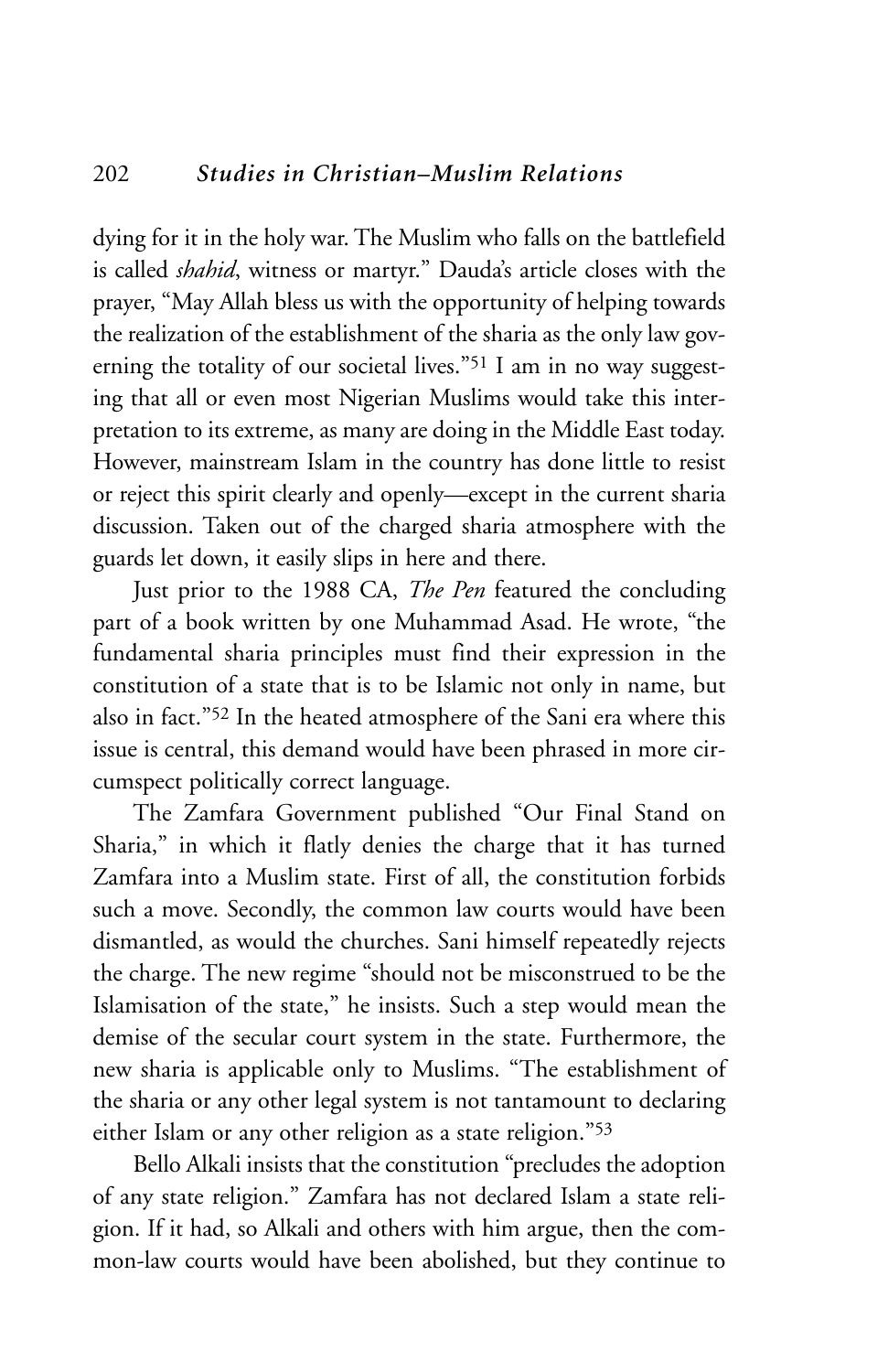dying for it in the holy war. The Muslim who falls on the battlefield is called *shahid*, witness or martyr." Dauda's article closes with the prayer, "May Allah bless us with the opportunity of helping towards the realization of the establishment of the sharia as the only law governing the totality of our societal lives."51 I am in no way suggesting that all or even most Nigerian Muslims would take this interpretation to its extreme, as many are doing in the Middle East today. However, mainstream Islam in the country has done little to resist or reject this spirit clearly and openly—except in the current sharia discussion. Taken out of the charged sharia atmosphere with the guards let down, it easily slips in here and there.

Just prior to the 1988 CA, *The Pen* featured the concluding part of a book written by one Muhammad Asad. He wrote, "the fundamental sharia principles must find their expression in the constitution of a state that is to be Islamic not only in name, but also in fact."52 In the heated atmosphere of the Sani era where this issue is central, this demand would have been phrased in more circumspect politically correct language.

The Zamfara Government published "Our Final Stand on Sharia," in which it flatly denies the charge that it has turned Zamfara into a Muslim state. First of all, the constitution forbids such a move. Secondly, the common law courts would have been dismantled, as would the churches. Sani himself repeatedly rejects the charge. The new regime "should not be misconstrued to be the Islamisation of the state," he insists. Such a step would mean the demise of the secular court system in the state. Furthermore, the new sharia is applicable only to Muslims. "The establishment of the sharia or any other legal system is not tantamount to declaring either Islam or any other religion as a state religion."53

Bello Alkali insists that the constitution "precludes the adoption of any state religion." Zamfara has not declared Islam a state religion. If it had, so Alkali and others with him argue, then the common-law courts would have been abolished, but they continue to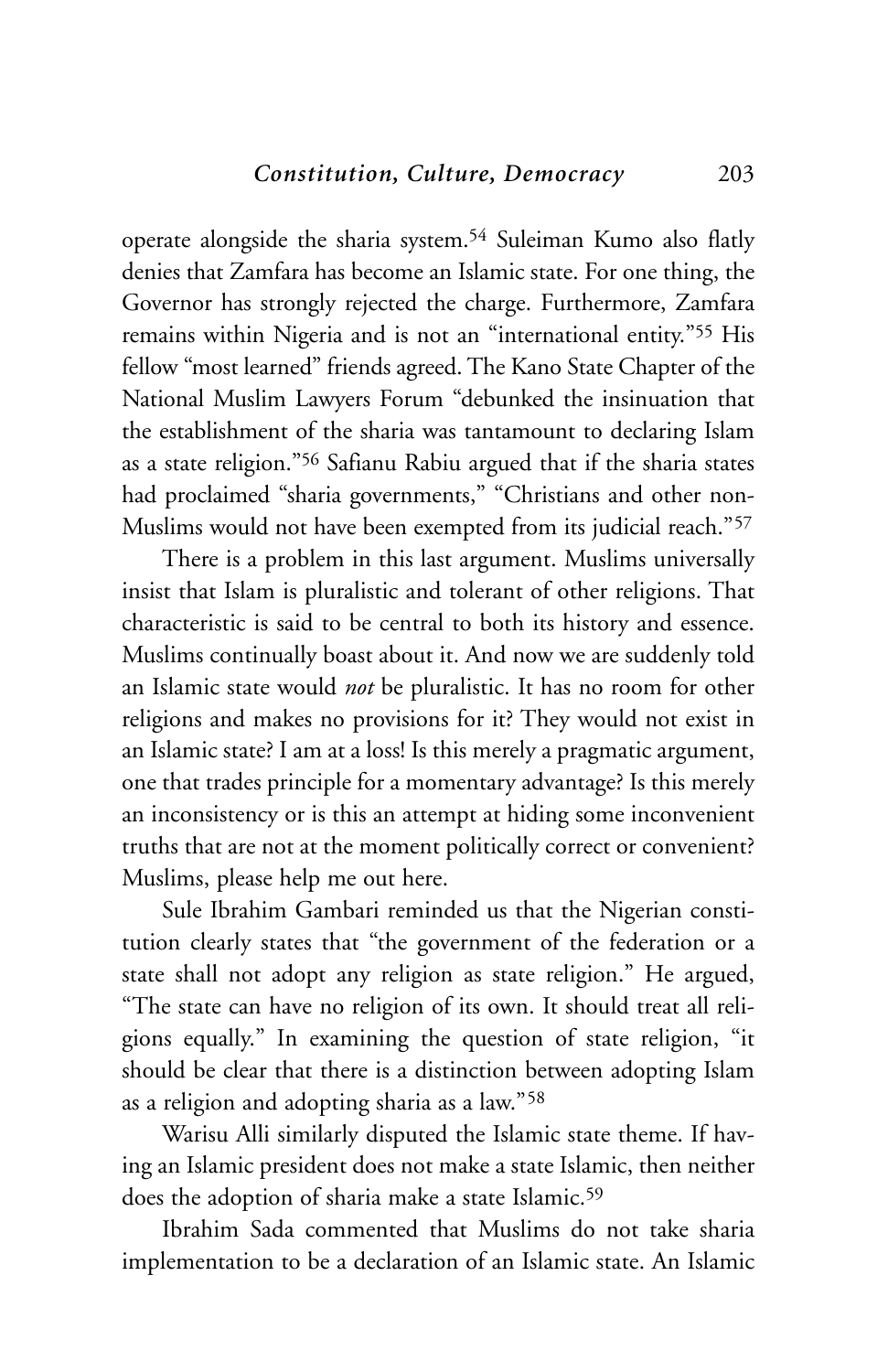operate alongside the sharia system.54 Suleiman Kumo also flatly denies that Zamfara has become an Islamic state. For one thing, the Governor has strongly rejected the charge. Furthermore, Zamfara remains within Nigeria and is not an "international entity."55 His fellow "most learned" friends agreed. The Kano State Chapter of the National Muslim Lawyers Forum "debunked the insinuation that the establishment of the sharia was tantamount to declaring Islam as a state religion."56 Safianu Rabiu argued that if the sharia states had proclaimed "sharia governments," "Christians and other non-Muslims would not have been exempted from its judicial reach."57

There is a problem in this last argument. Muslims universally insist that Islam is pluralistic and tolerant of other religions. That characteristic is said to be central to both its history and essence. Muslims continually boast about it. And now we are suddenly told an Islamic state would *not* be pluralistic. It has no room for other religions and makes no provisions for it? They would not exist in an Islamic state? I am at a loss! Is this merely a pragmatic argument, one that trades principle for a momentary advantage? Is this merely an inconsistency or is this an attempt at hiding some inconvenient truths that are not at the moment politically correct or convenient? Muslims, please help me out here.

Sule Ibrahim Gambari reminded us that the Nigerian constitution clearly states that "the government of the federation or a state shall not adopt any religion as state religion." He argued, "The state can have no religion of its own. It should treat all religions equally." In examining the question of state religion, "it should be clear that there is a distinction between adopting Islam as a religion and adopting sharia as a law."58

Warisu Alli similarly disputed the Islamic state theme. If having an Islamic president does not make a state Islamic, then neither does the adoption of sharia make a state Islamic.<sup>59</sup>

Ibrahim Sada commented that Muslims do not take sharia implementation to be a declaration of an Islamic state. An Islamic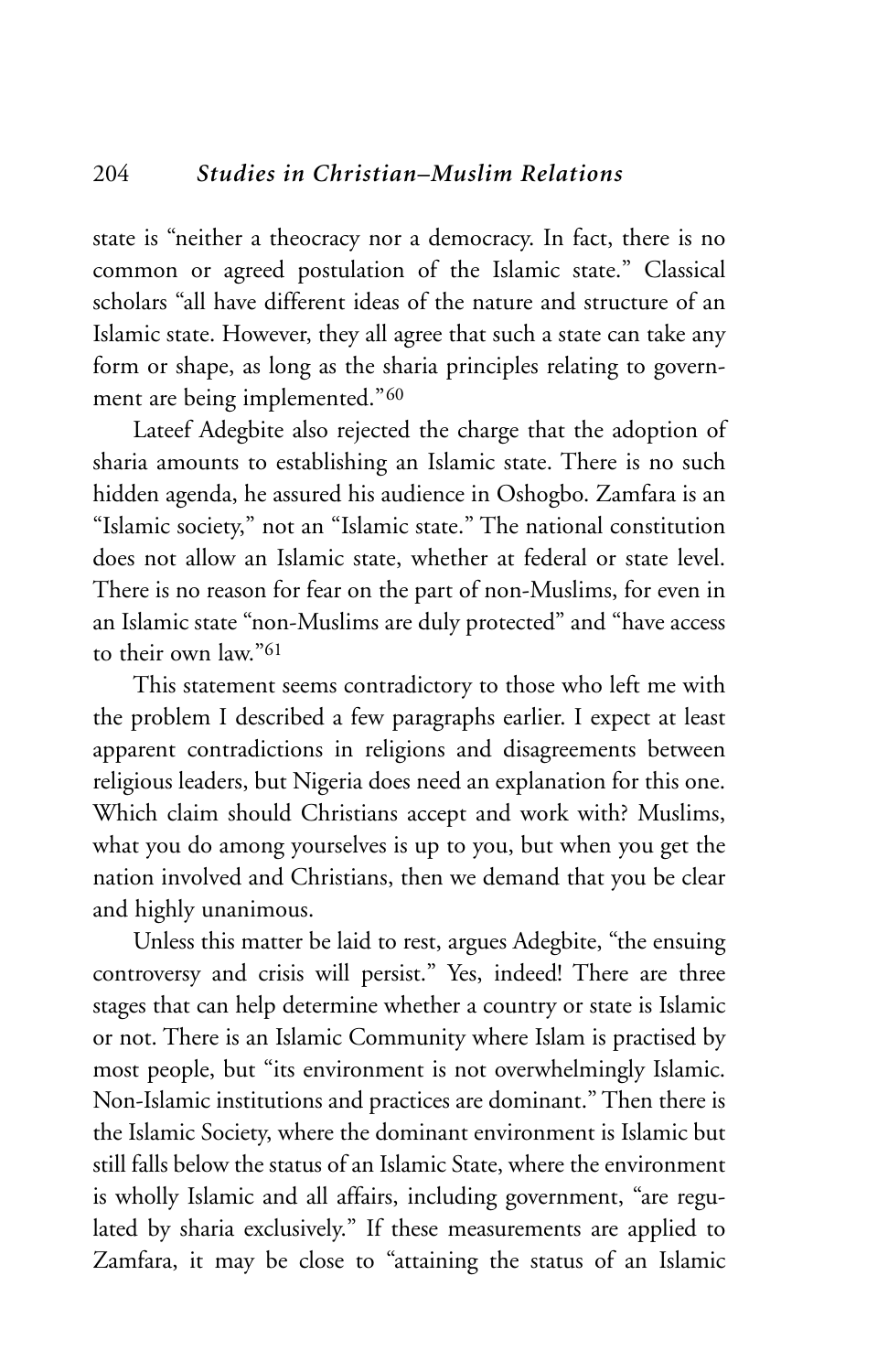state is "neither a theocracy nor a democracy. In fact, there is no common or agreed postulation of the Islamic state." Classical scholars "all have different ideas of the nature and structure of an Islamic state. However, they all agree that such a state can take any form or shape, as long as the sharia principles relating to government are being implemented."60

Lateef Adegbite also rejected the charge that the adoption of sharia amounts to establishing an Islamic state. There is no such hidden agenda, he assured his audience in Oshogbo. Zamfara is an "Islamic society," not an "Islamic state." The national constitution does not allow an Islamic state, whether at federal or state level. There is no reason for fear on the part of non-Muslims, for even in an Islamic state "non-Muslims are duly protected" and "have access to their own law."61

This statement seems contradictory to those who left me with the problem I described a few paragraphs earlier. I expect at least apparent contradictions in religions and disagreements between religious leaders, but Nigeria does need an explanation for this one. Which claim should Christians accept and work with? Muslims, what you do among yourselves is up to you, but when you get the nation involved and Christians, then we demand that you be clear and highly unanimous.

Unless this matter be laid to rest, argues Adegbite, "the ensuing controversy and crisis will persist." Yes, indeed! There are three stages that can help determine whether a country or state is Islamic or not. There is an Islamic Community where Islam is practised by most people, but "its environment is not overwhelmingly Islamic. Non-Islamic institutions and practices are dominant." Then there is the Islamic Society, where the dominant environment is Islamic but still falls below the status of an Islamic State, where the environment is wholly Islamic and all affairs, including government, "are regulated by sharia exclusively." If these measurements are applied to Zamfara, it may be close to "attaining the status of an Islamic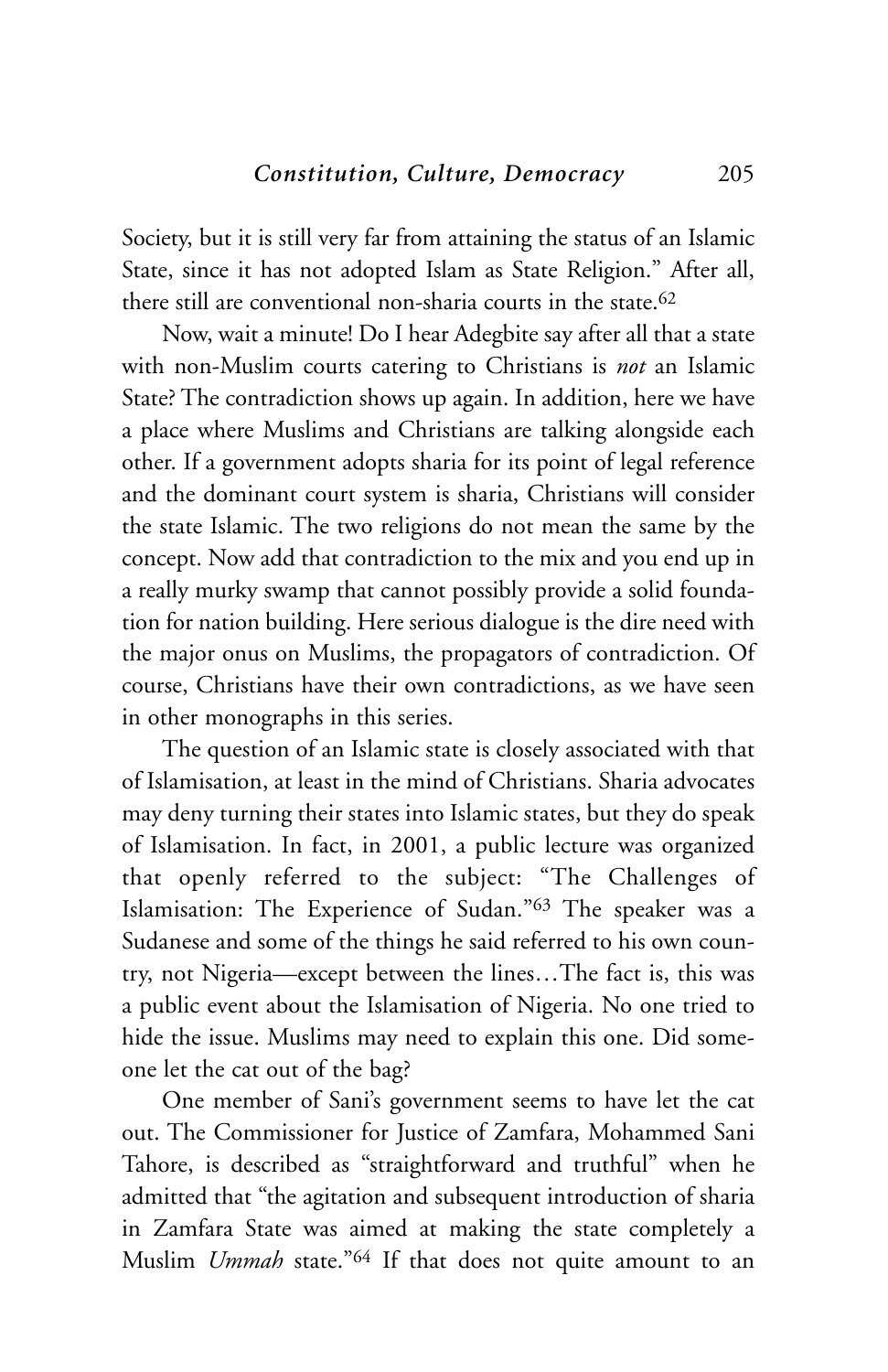Society, but it is still very far from attaining the status of an Islamic State, since it has not adopted Islam as State Religion." After all, there still are conventional non-sharia courts in the state.62

Now, wait a minute! Do I hear Adegbite say after all that a state with non-Muslim courts catering to Christians is *not* an Islamic State? The contradiction shows up again. In addition, here we have a place where Muslims and Christians are talking alongside each other. If a government adopts sharia for its point of legal reference and the dominant court system is sharia, Christians will consider the state Islamic. The two religions do not mean the same by the concept. Now add that contradiction to the mix and you end up in a really murky swamp that cannot possibly provide a solid foundation for nation building. Here serious dialogue is the dire need with the major onus on Muslims, the propagators of contradiction. Of course, Christians have their own contradictions, as we have seen in other monographs in this series.

The question of an Islamic state is closely associated with that of Islamisation, at least in the mind of Christians. Sharia advocates may deny turning their states into Islamic states, but they do speak of Islamisation. In fact, in 2001, a public lecture was organized that openly referred to the subject: "The Challenges of Islamisation: The Experience of Sudan."63 The speaker was a Sudanese and some of the things he said referred to his own country, not Nigeria—except between the lines…The fact is, this was a public event about the Islamisation of Nigeria. No one tried to hide the issue. Muslims may need to explain this one. Did someone let the cat out of the bag?

One member of Sani's government seems to have let the cat out. The Commissioner for Justice of Zamfara, Mohammed Sani Tahore, is described as "straightforward and truthful" when he admitted that "the agitation and subsequent introduction of sharia in Zamfara State was aimed at making the state completely a Muslim *Ummah* state."64 If that does not quite amount to an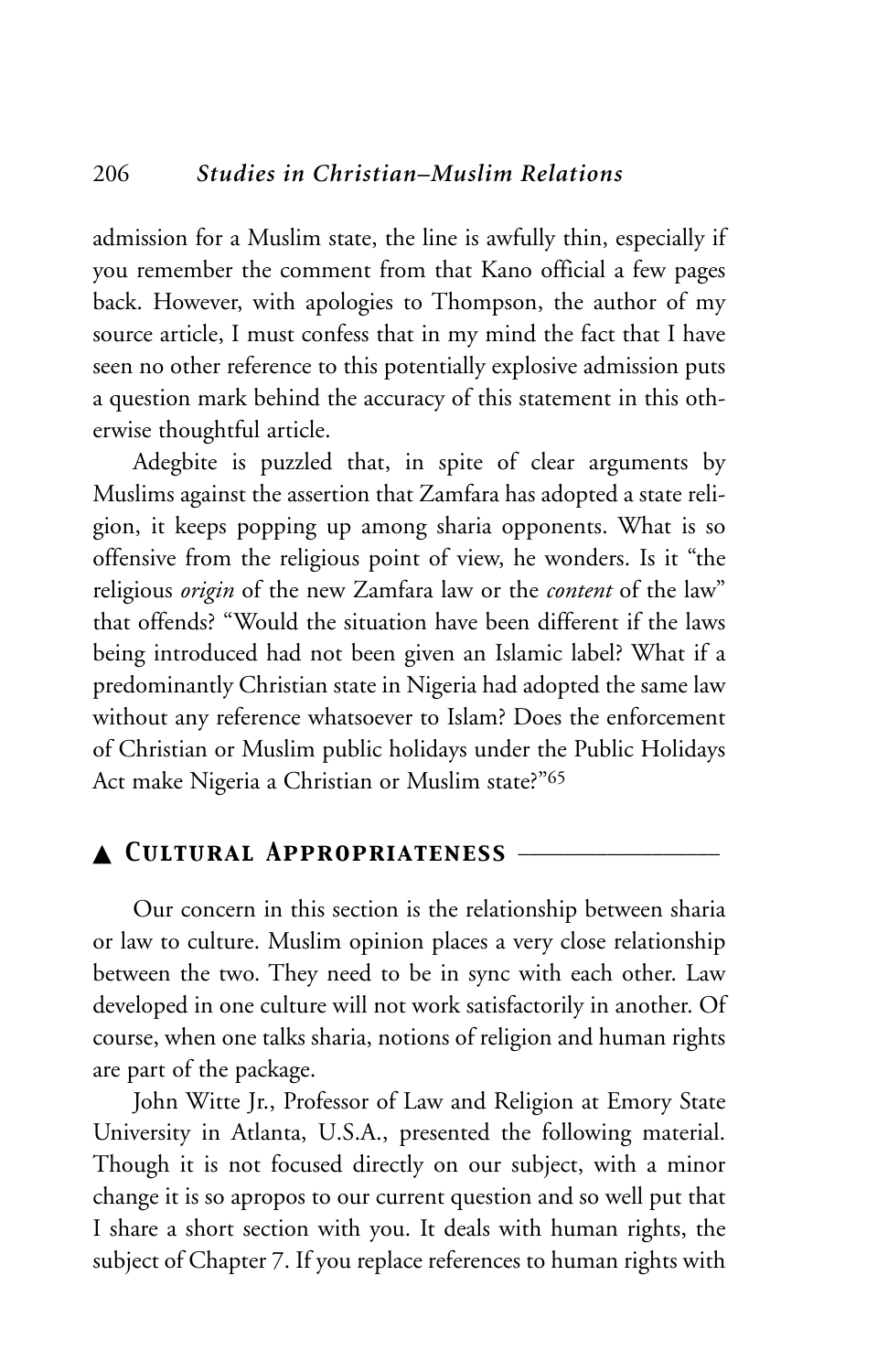admission for a Muslim state, the line is awfully thin, especially if you remember the comment from that Kano official a few pages back. However, with apologies to Thompson, the author of my source article, I must confess that in my mind the fact that I have seen no other reference to this potentially explosive admission puts a question mark behind the accuracy of this statement in this otherwise thoughtful article.

Adegbite is puzzled that, in spite of clear arguments by Muslims against the assertion that Zamfara has adopted a state religion, it keeps popping up among sharia opponents. What is so offensive from the religious point of view, he wonders. Is it "the religious *origin* of the new Zamfara law or the *content* of the law" that offends? "Would the situation have been different if the laws being introduced had not been given an Islamic label? What if a predominantly Christian state in Nigeria had adopted the same law without any reference whatsoever to Islam? Does the enforcement of Christian or Muslim public holidays under the Public Holidays Act make Nigeria a Christian or Muslim state?"65

# ▲ *Cultural Appropriateness* \_\_\_\_\_\_\_\_\_\_\_\_\_\_\_\_\_\_

Our concern in this section is the relationship between sharia or law to culture. Muslim opinion places a very close relationship between the two. They need to be in sync with each other. Law developed in one culture will not work satisfactorily in another. Of course, when one talks sharia, notions of religion and human rights are part of the package.

John Witte Jr., Professor of Law and Religion at Emory State University in Atlanta, U.S.A., presented the following material. Though it is not focused directly on our subject, with a minor change it is so apropos to our current question and so well put that I share a short section with you. It deals with human rights, the subject of Chapter 7. If you replace references to human rights with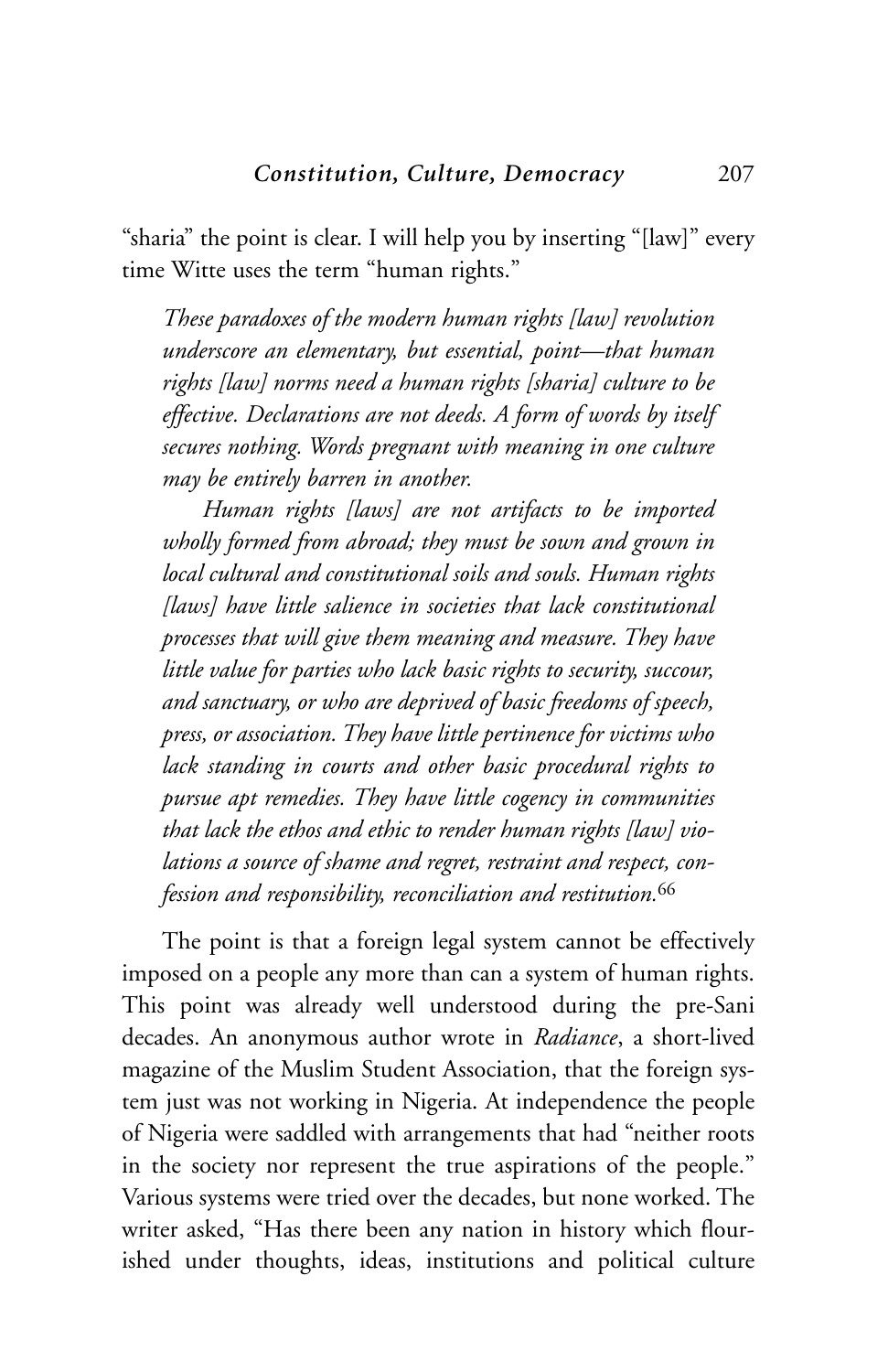"sharia" the point is clear. I will help you by inserting "[law]" every time Witte uses the term "human rights."

*These paradoxes of the modern human rights [law] revolution underscore an elementary, but essential, point—that human rights [law] norms need a human rights [sharia] culture to be effective. Declarations are not deeds. A form of words by itself secures nothing. Words pregnant with meaning in one culture may be entirely barren in another.* 

*Human rights [laws] are not artifacts to be imported wholly formed from abroad; they must be sown and grown in local cultural and constitutional soils and souls. Human rights [laws] have little salience in societies that lack constitutional processes that will give them meaning and measure. They have little value for parties who lack basic rights to security, succour, and sanctuary, or who are deprived of basic freedoms of speech, press, or association. They have little pertinence for victims who lack standing in courts and other basic procedural rights to pursue apt remedies. They have little cogency in communities that lack the ethos and ethic to render human rights [law] violations a source of shame and regret, restraint and respect, confession and responsibility, reconciliation and restitution.*<sup>66</sup>

The point is that a foreign legal system cannot be effectively imposed on a people any more than can a system of human rights. This point was already well understood during the pre-Sani decades. An anonymous author wrote in *Radiance*, a short-lived magazine of the Muslim Student Association, that the foreign system just was not working in Nigeria. At independence the people of Nigeria were saddled with arrangements that had "neither roots in the society nor represent the true aspirations of the people." Various systems were tried over the decades, but none worked. The writer asked, "Has there been any nation in history which flourished under thoughts, ideas, institutions and political culture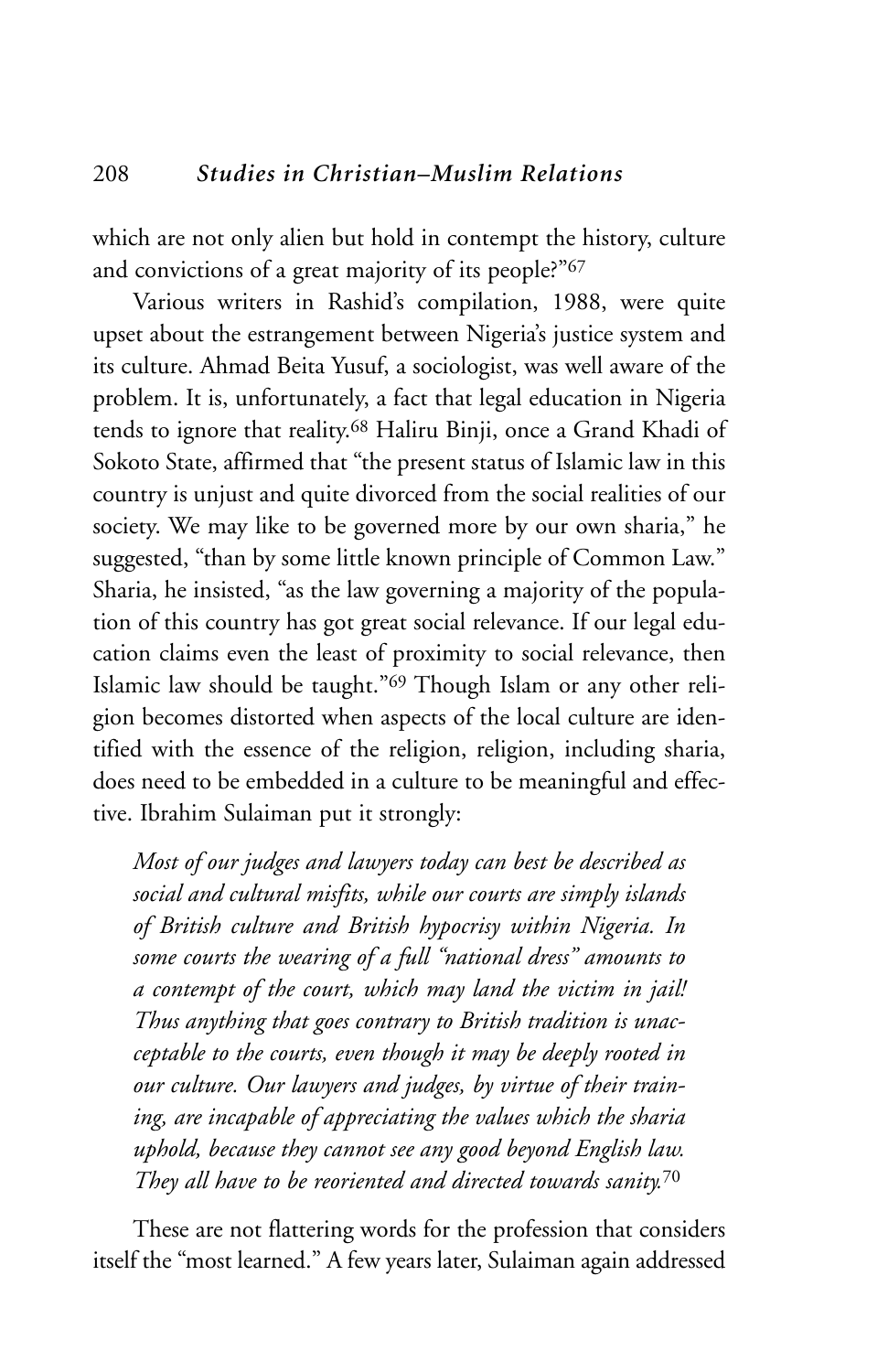which are not only alien but hold in contempt the history, culture and convictions of a great majority of its people?"67

Various writers in Rashid's compilation, 1988, were quite upset about the estrangement between Nigeria's justice system and its culture. Ahmad Beita Yusuf, a sociologist, was well aware of the problem. It is, unfortunately, a fact that legal education in Nigeria tends to ignore that reality.68 Haliru Binji, once a Grand Khadi of Sokoto State, affirmed that "the present status of Islamic law in this country is unjust and quite divorced from the social realities of our society. We may like to be governed more by our own sharia," he suggested, "than by some little known principle of Common Law." Sharia, he insisted, "as the law governing a majority of the population of this country has got great social relevance. If our legal education claims even the least of proximity to social relevance, then Islamic law should be taught."69 Though Islam or any other religion becomes distorted when aspects of the local culture are identified with the essence of the religion, religion, including sharia, does need to be embedded in a culture to be meaningful and effective. Ibrahim Sulaiman put it strongly:

*Most of our judges and lawyers today can best be described as social and cultural misfits, while our courts are simply islands of British culture and British hypocrisy within Nigeria. In some courts the wearing of a full "national dress" amounts to a contempt of the court, which may land the victim in jail! Thus anything that goes contrary to British tradition is unacceptable to the courts, even though it may be deeply rooted in our culture. Our lawyers and judges, by virtue of their training, are incapable of appreciating the values which the sharia uphold, because they cannot see any good beyond English law. They all have to be reoriented and directed towards sanity.*<sup>70</sup>

These are not flattering words for the profession that considers itself the "most learned." A few years later, Sulaiman again addressed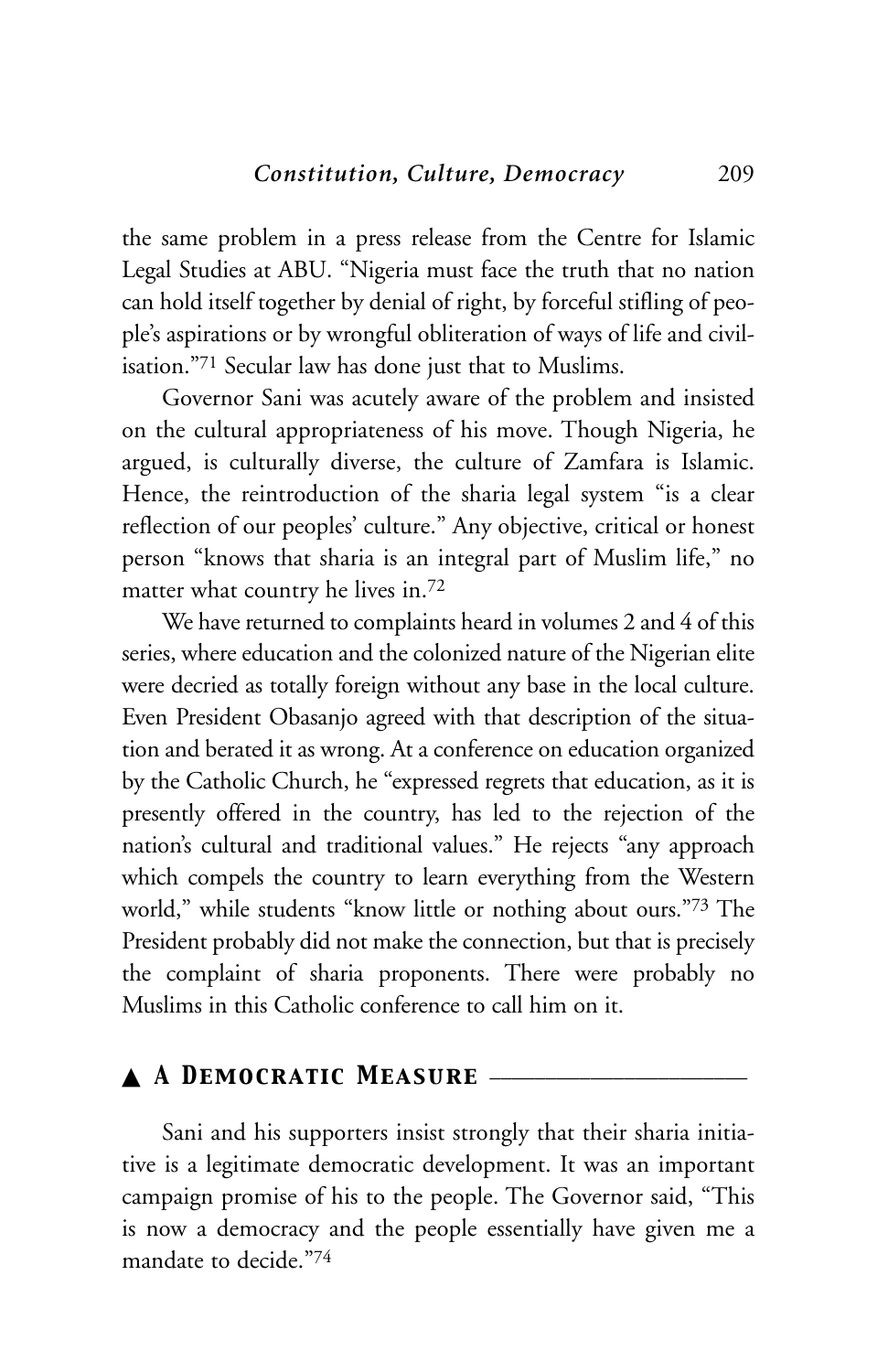the same problem in a press release from the Centre for Islamic Legal Studies at ABU. "Nigeria must face the truth that no nation can hold itself together by denial of right, by forceful stifling of people's aspirations or by wrongful obliteration of ways of life and civilisation."71 Secular law has done just that to Muslims.

Governor Sani was acutely aware of the problem and insisted on the cultural appropriateness of his move. Though Nigeria, he argued, is culturally diverse, the culture of Zamfara is Islamic. Hence, the reintroduction of the sharia legal system "is a clear reflection of our peoples' culture." Any objective, critical or honest person "knows that sharia is an integral part of Muslim life," no matter what country he lives in.72

We have returned to complaints heard in volumes 2 and 4 of this series, where education and the colonized nature of the Nigerian elite were decried as totally foreign without any base in the local culture. Even President Obasanjo agreed with that description of the situation and berated it as wrong. At a conference on education organized by the Catholic Church, he "expressed regrets that education, as it is presently offered in the country, has led to the rejection of the nation's cultural and traditional values." He rejects "any approach which compels the country to learn everything from the Western world," while students "know little or nothing about ours."73 The President probably did not make the connection, but that is precisely the complaint of sharia proponents. There were probably no Muslims in this Catholic conference to call him on it.

# ▲ *A Democratic Measure* \_\_\_\_\_\_\_\_\_\_\_\_\_\_\_\_\_\_\_\_\_\_\_

Sani and his supporters insist strongly that their sharia initiative is a legitimate democratic development. It was an important campaign promise of his to the people. The Governor said, "This is now a democracy and the people essentially have given me a mandate to decide."74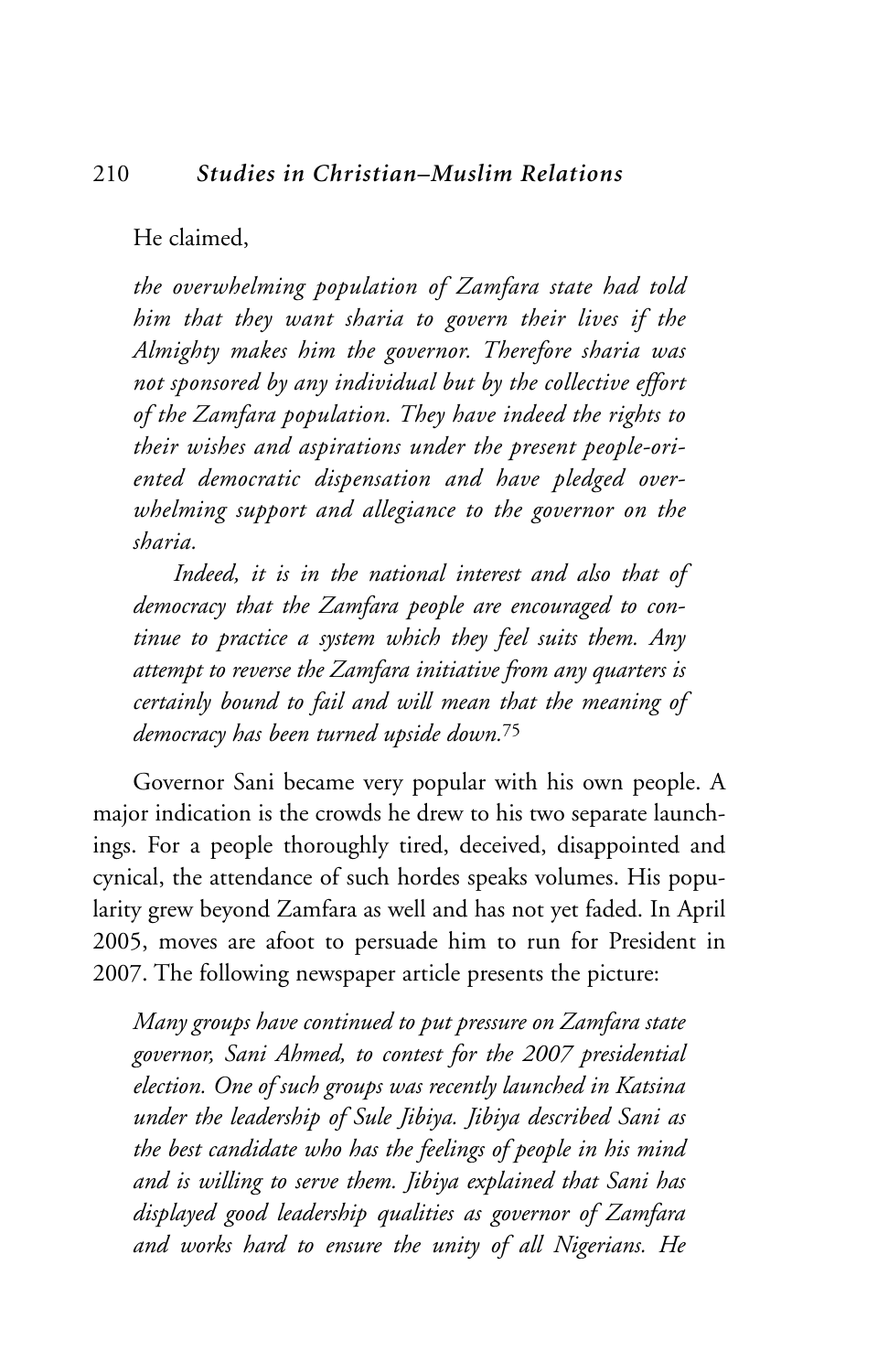#### 210 *Studies in Christian–Muslim Relations*

He claimed,

*the overwhelming population of Zamfara state had told him that they want sharia to govern their lives if the Almighty makes him the governor. Therefore sharia was not sponsored by any individual but by the collective effort of the Zamfara population. They have indeed the rights to their wishes and aspirations under the present people-oriented democratic dispensation and have pledged overwhelming support and allegiance to the governor on the sharia.*

*Indeed, it is in the national interest and also that of democracy that the Zamfara people are encouraged to continue to practice a system which they feel suits them. Any attempt to reverse the Zamfara initiative from any quarters is certainly bound to fail and will mean that the meaning of democracy has been turned upside down.*<sup>75</sup>

Governor Sani became very popular with his own people. A major indication is the crowds he drew to his two separate launchings. For a people thoroughly tired, deceived, disappointed and cynical, the attendance of such hordes speaks volumes. His popularity grew beyond Zamfara as well and has not yet faded. In April 2005, moves are afoot to persuade him to run for President in 2007. The following newspaper article presents the picture:

*Many groups have continued to put pressure on Zamfara state governor, Sani Ahmed, to contest for the 2007 presidential election. One of such groups was recently launched in Katsina under the leadership of Sule Jibiya. Jibiya described Sani as the best candidate who has the feelings of people in his mind and is willing to serve them. Jibiya explained that Sani has displayed good leadership qualities as governor of Zamfara and works hard to ensure the unity of all Nigerians. He*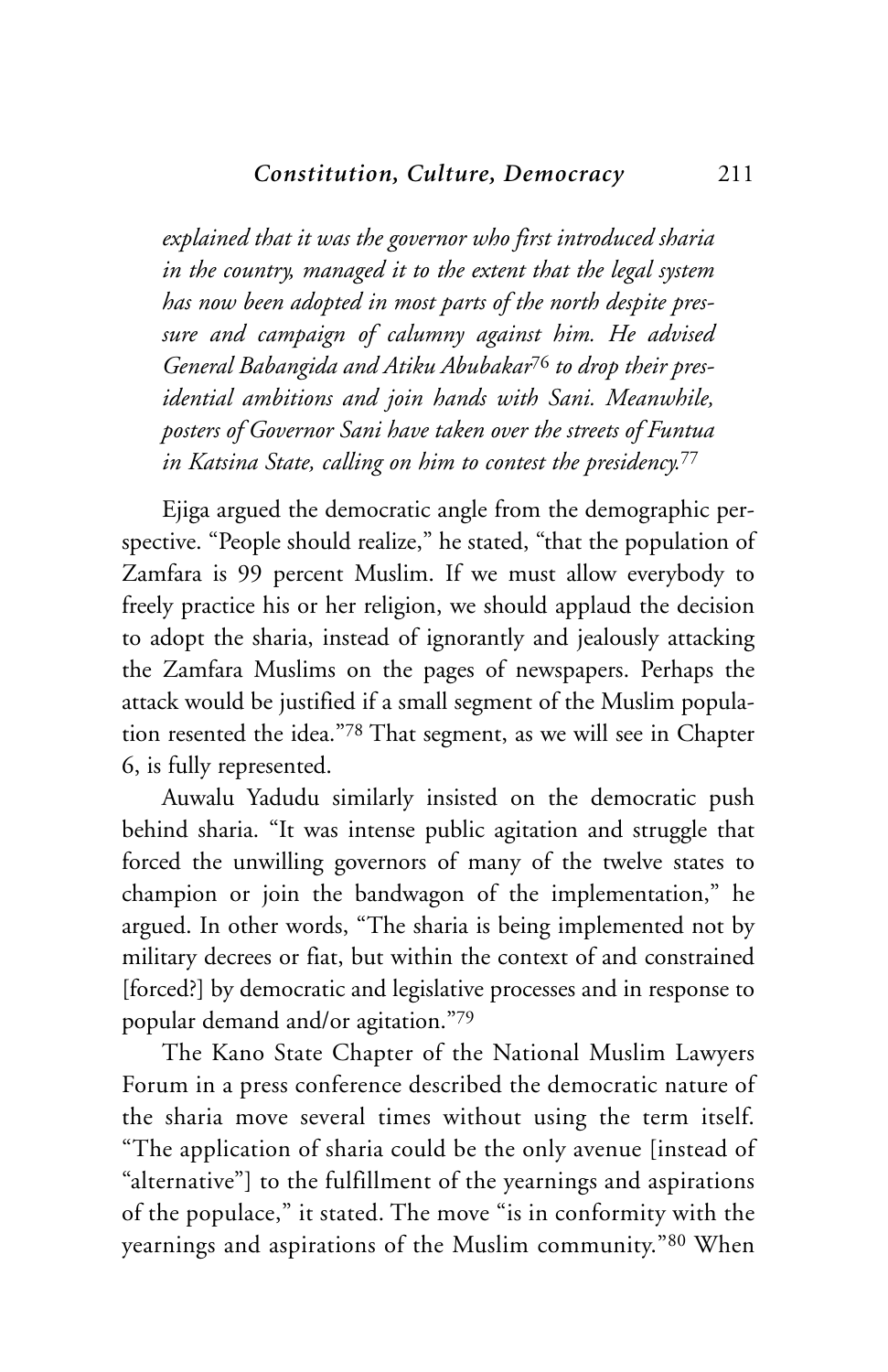*explained that it was the governor who first introduced sharia in the country, managed it to the extent that the legal system has now been adopted in most parts of the north despite pressure and campaign of calumny against him. He advised General Babangida and Atiku Abubakar*<sup>76</sup> *to drop their presidential ambitions and join hands with Sani. Meanwhile, posters of Governor Sani have taken over the streets of Funtua in Katsina State, calling on him to contest the presidency.*<sup>77</sup>

Ejiga argued the democratic angle from the demographic perspective. "People should realize," he stated, "that the population of Zamfara is 99 percent Muslim. If we must allow everybody to freely practice his or her religion, we should applaud the decision to adopt the sharia, instead of ignorantly and jealously attacking the Zamfara Muslims on the pages of newspapers. Perhaps the attack would be justified if a small segment of the Muslim population resented the idea."78 That segment, as we will see in Chapter 6, is fully represented.

Auwalu Yadudu similarly insisted on the democratic push behind sharia. "It was intense public agitation and struggle that forced the unwilling governors of many of the twelve states to champion or join the bandwagon of the implementation," he argued. In other words, "The sharia is being implemented not by military decrees or fiat, but within the context of and constrained [forced?] by democratic and legislative processes and in response to popular demand and/or agitation."79

The Kano State Chapter of the National Muslim Lawyers Forum in a press conference described the democratic nature of the sharia move several times without using the term itself. "The application of sharia could be the only avenue [instead of "alternative"] to the fulfillment of the yearnings and aspirations of the populace," it stated. The move "is in conformity with the yearnings and aspirations of the Muslim community."80 When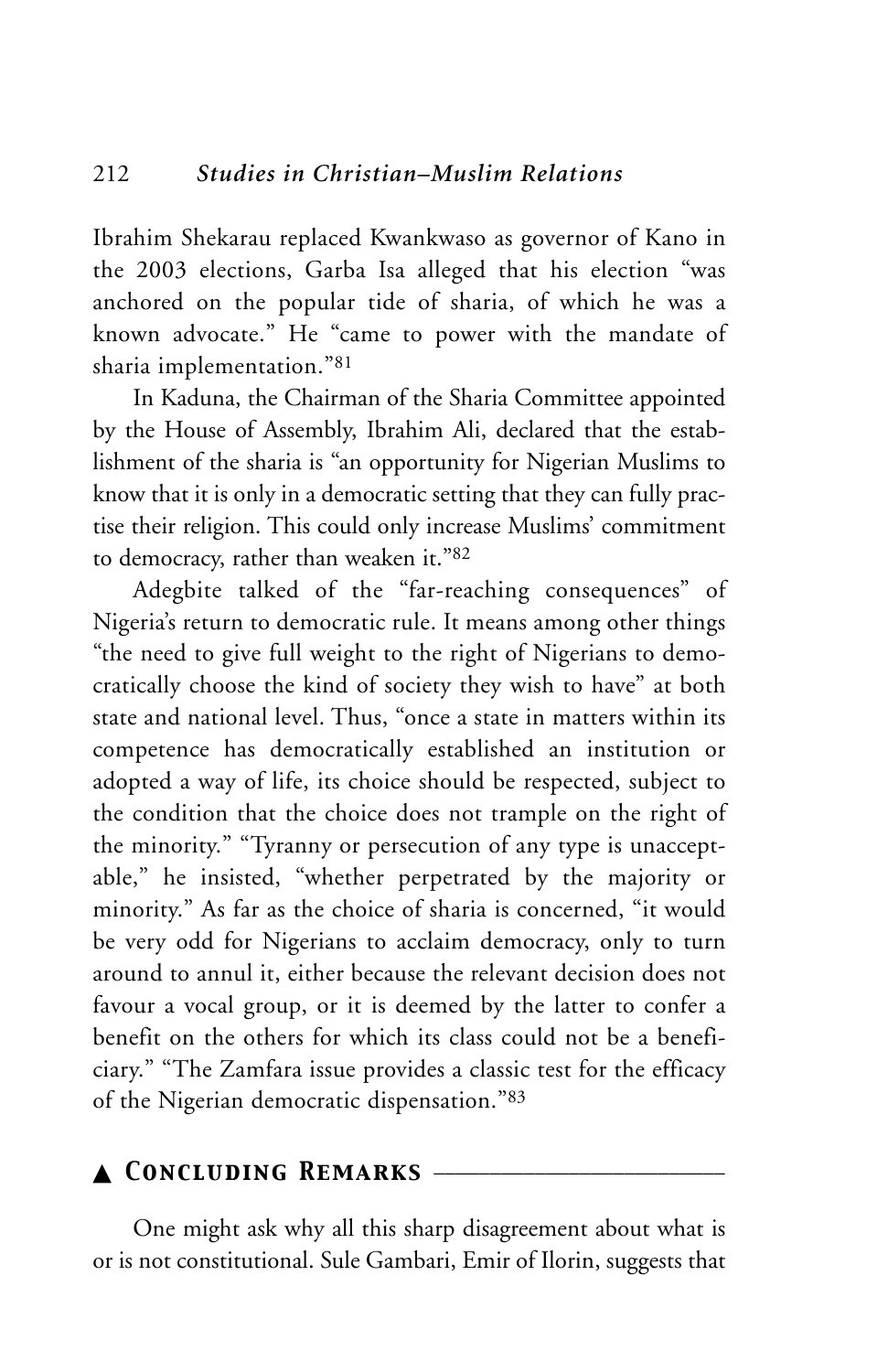Ibrahim Shekarau replaced Kwankwaso as governor of Kano in the 2003 elections, Garba Isa alleged that his election "was anchored on the popular tide of sharia, of which he was a known advocate." He "came to power with the mandate of sharia implementation."81

In Kaduna, the Chairman of the Sharia Committee appointed by the House of Assembly, Ibrahim Ali, declared that the establishment of the sharia is "an opportunity for Nigerian Muslims to know that it is only in a democratic setting that they can fully practise their religion. This could only increase Muslims' commitment to democracy, rather than weaken it."82

Adegbite talked of the "far-reaching consequences" of Nigeria's return to democratic rule. It means among other things "the need to give full weight to the right of Nigerians to democratically choose the kind of society they wish to have" at both state and national level. Thus, "once a state in matters within its competence has democratically established an institution or adopted a way of life, its choice should be respected, subject to the condition that the choice does not trample on the right of the minority." "Tyranny or persecution of any type is unacceptable," he insisted, "whether perpetrated by the majority or minority." As far as the choice of sharia is concerned, "it would be very odd for Nigerians to acclaim democracy, only to turn around to annul it, either because the relevant decision does not favour a vocal group, or it is deemed by the latter to confer a benefit on the others for which its class could not be a beneficiary." "The Zamfara issue provides a classic test for the efficacy of the Nigerian democratic dispensation."83

# ▲ *Concluding Remarks* \_\_\_\_\_\_\_\_\_\_\_\_\_\_\_\_\_\_\_\_\_\_\_\_\_\_

One might ask why all this sharp disagreement about what is or is not constitutional. Sule Gambari, Emir of Ilorin, suggests that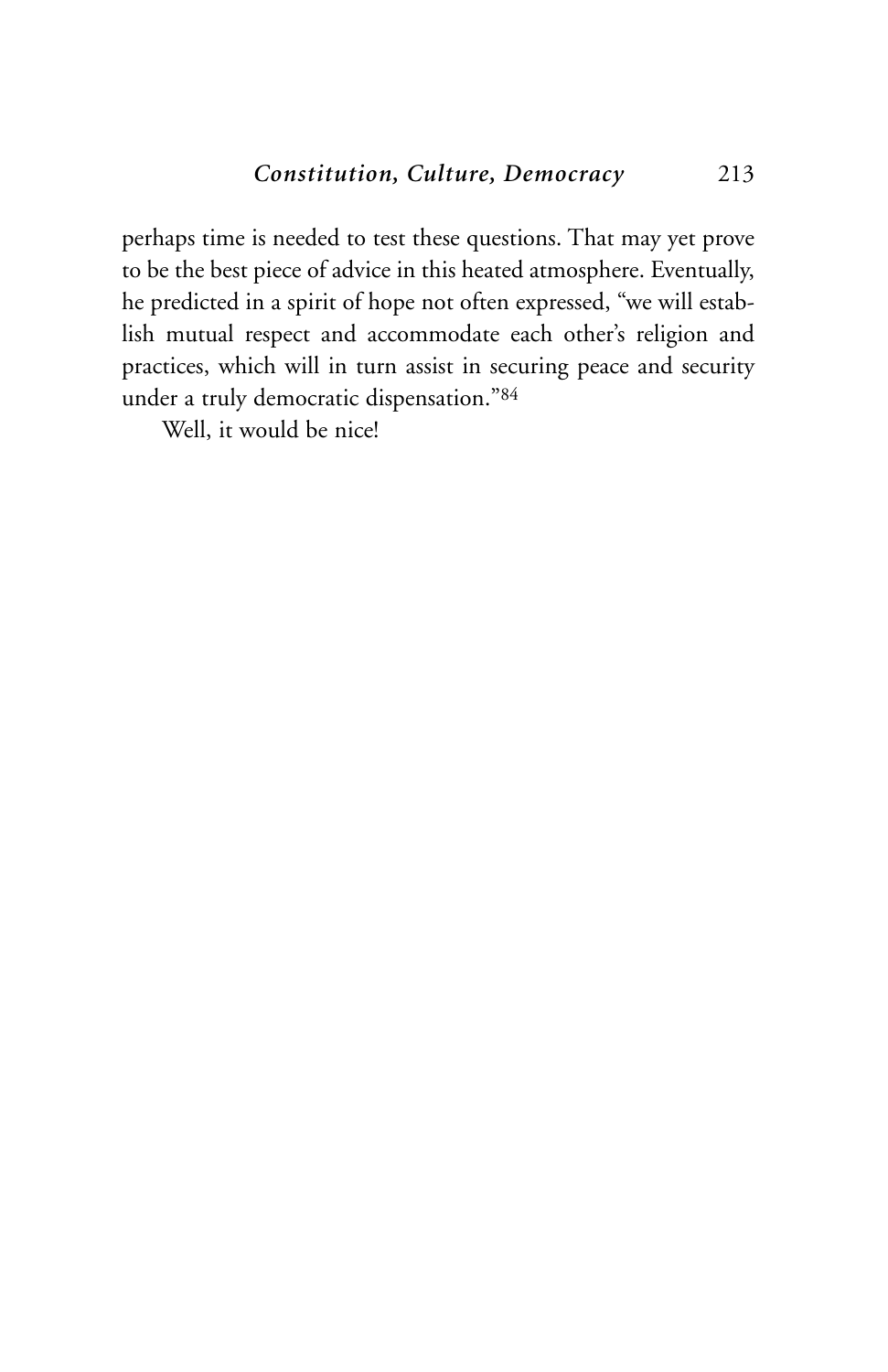perhaps time is needed to test these questions. That may yet prove to be the best piece of advice in this heated atmosphere. Eventually, he predicted in a spirit of hope not often expressed, "we will establish mutual respect and accommodate each other's religion and practices, which will in turn assist in securing peace and security under a truly democratic dispensation."84

Well, it would be nice!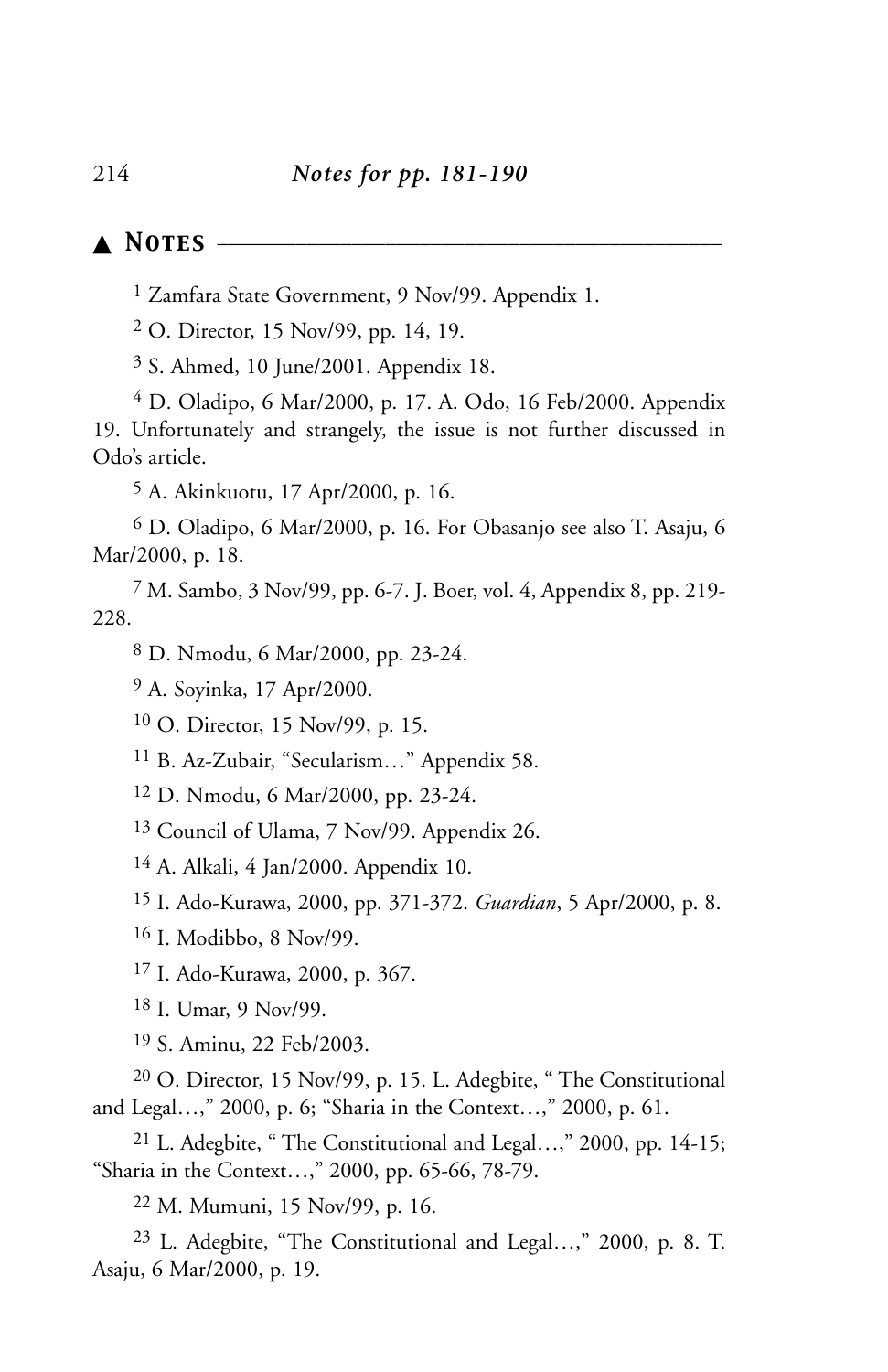# ▲ *Notes* \_\_\_\_\_\_\_\_\_\_\_\_\_\_\_\_\_\_\_\_\_\_\_\_\_\_\_\_\_\_\_\_\_\_\_\_\_\_\_\_\_\_\_\_\_

Zamfara State Government, 9 Nov/99. Appendix 1.

O. Director, 15 Nov/99, pp. 14, 19.

S. Ahmed, 10 June/2001. Appendix 18.

 D. Oladipo, 6 Mar/2000, p. 17. A. Odo, 16 Feb/2000. Appendix 19. Unfortunately and strangely, the issue is not further discussed in Odo's article.

A. Akinkuotu, 17 Apr/2000, p. 16.

 D. Oladipo, 6 Mar/2000, p. 16. For Obasanjo see also T. Asaju, 6 Mar/2000, p. 18.

 M. Sambo, 3 Nov/99, pp. 6-7. J. Boer, vol. 4, Appendix 8, pp. 219- 228.

D. Nmodu, 6 Mar/2000, pp. 23-24.

A. Soyinka, 17 Apr/2000.

O. Director, 15 Nov/99, p. 15.

B. Az-Zubair, "Secularism…" Appendix 58.

D. Nmodu, 6 Mar/2000, pp. 23-24.

Council of Ulama, 7 Nov/99. Appendix 26.

A. Alkali, 4 Jan/2000. Appendix 10.

I. Ado-Kurawa, 2000, pp. 371-372. *Guardian*, 5 Apr/2000, p. 8.

I. Modibbo, 8 Nov/99.

I. Ado-Kurawa, 2000, p. 367.

I. Umar, 9 Nov/99.

S. Aminu, 22 Feb/2003.

 O. Director, 15 Nov/99, p. 15. L. Adegbite, " The Constitutional and Legal…," 2000, p. 6; "Sharia in the Context…," 2000, p. 61.

 L. Adegbite, " The Constitutional and Legal…," 2000, pp. 14-15; "Sharia in the Context…," 2000, pp. 65-66, 78-79.

M. Mumuni, 15 Nov/99, p. 16.

 L. Adegbite, "The Constitutional and Legal…," 2000, p. 8. T. Asaju, 6 Mar/2000, p. 19.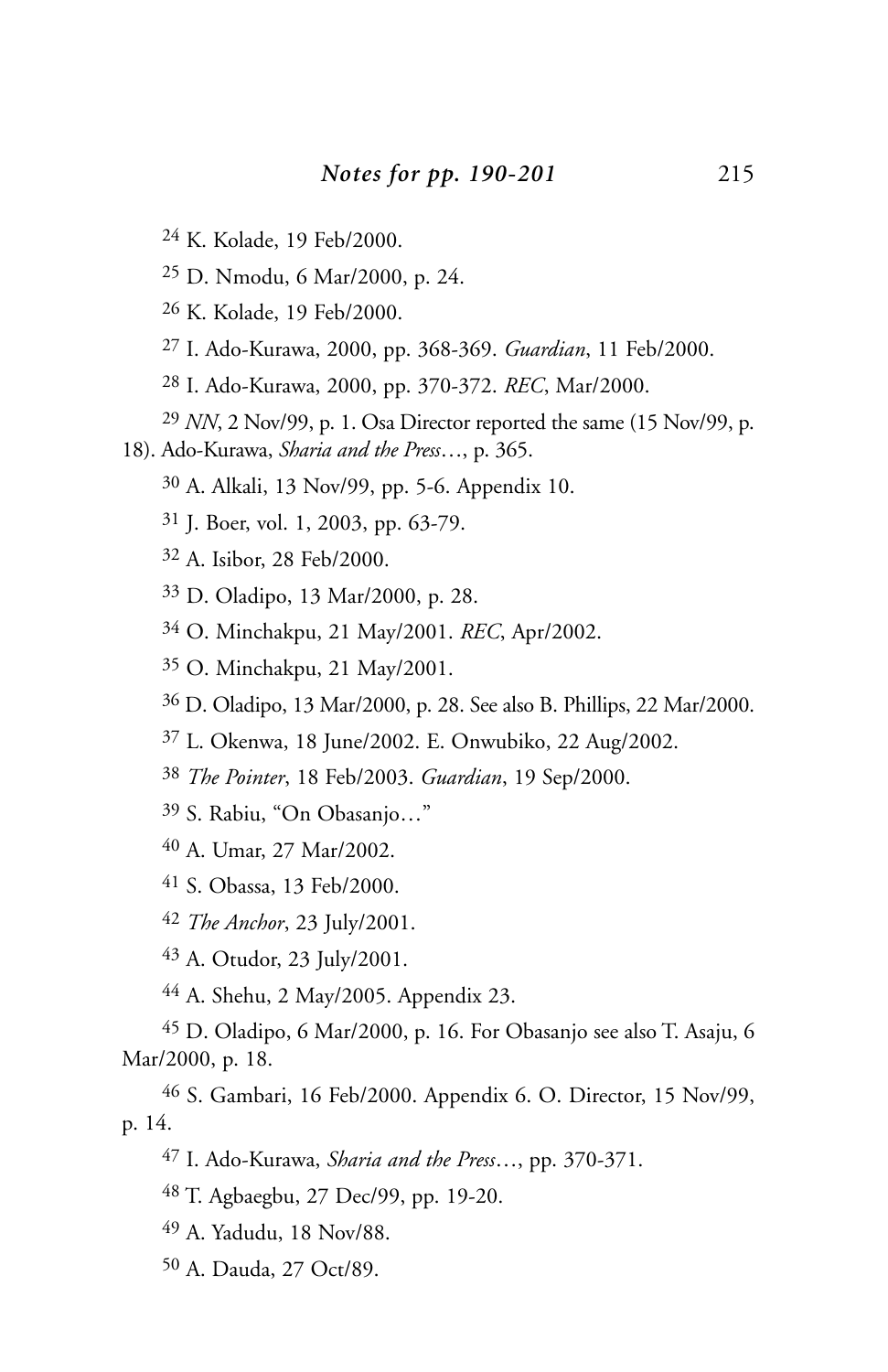- K. Kolade, 19 Feb/2000.
- D. Nmodu, 6 Mar/2000, p. 24.
- K. Kolade, 19 Feb/2000.
- I. Ado-Kurawa, 2000, pp. 368-369. *Guardian*, 11 Feb/2000.
- I. Ado-Kurawa, 2000, pp. 370-372. *REC*, Mar/2000.
- *NN*, 2 Nov/99, p. 1. Osa Director reported the same (15 Nov/99, p.
- 18). Ado-Kurawa, *Sharia and the Press*…, p. 365.
	- A. Alkali, 13 Nov/99, pp. 5-6. Appendix 10.
	- J. Boer, vol. 1, 2003, pp. 63-79.
	- A. Isibor, 28 Feb/2000.
	- D. Oladipo, 13 Mar/2000, p. 28.
	- O. Minchakpu, 21 May/2001. *REC*, Apr/2002.
	- O. Minchakpu, 21 May/2001.
	- D. Oladipo, 13 Mar/2000, p. 28. See also B. Phillips, 22 Mar/2000.
	- L. Okenwa, 18 June/2002. E. Onwubiko, 22 Aug/2002.
	- *The Pointer*, 18 Feb/2003. *Guardian*, 19 Sep/2000.
	- S. Rabiu, "On Obasanjo…"
	- A. Umar, 27 Mar/2002.
	- S. Obassa, 13 Feb/2000.
	- *The Anchor*, 23 July/2001.
	- A. Otudor, 23 July/2001.
	- A. Shehu, 2 May/2005. Appendix 23.

 D. Oladipo, 6 Mar/2000, p. 16. For Obasanjo see also T. Asaju, 6 Mar/2000, p. 18.

 S. Gambari, 16 Feb/2000. Appendix 6. O. Director, 15 Nov/99, p. 14.

- I. Ado-Kurawa, *Sharia and the Press*…, pp. 370-371.
- T. Agbaegbu, 27 Dec/99, pp. 19-20.
- A. Yadudu, 18 Nov/88.
- A. Dauda, 27 Oct/89.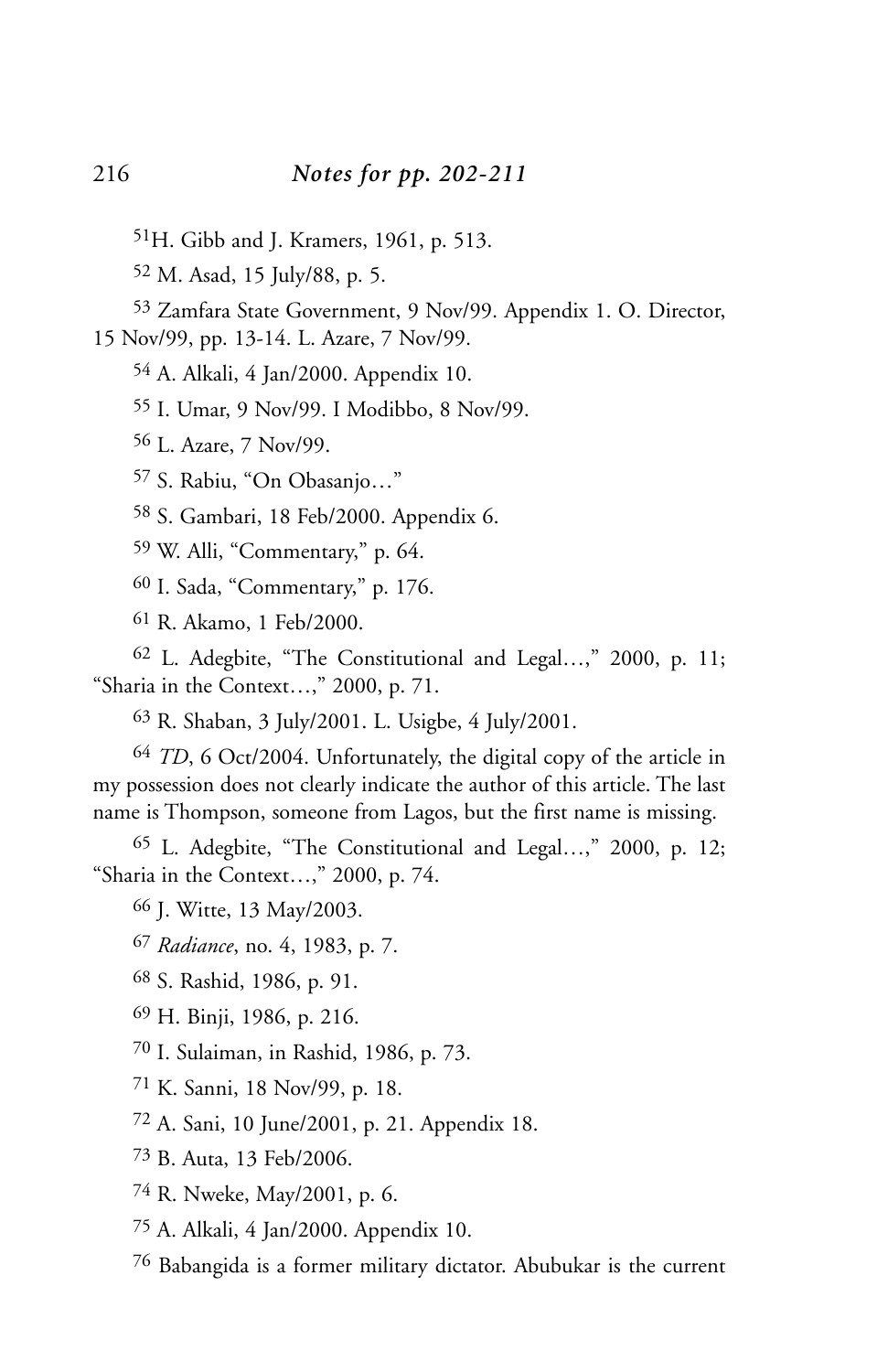51H. Gibb and J. Kramers, 1961, p. 513.

M. Asad, 15 July/88, p. 5.

 Zamfara State Government, 9 Nov/99. Appendix 1. O. Director, 15 Nov/99, pp. 13-14. L. Azare, 7 Nov/99.

A. Alkali, 4 Jan/2000. Appendix 10.

I. Umar, 9 Nov/99. I Modibbo, 8 Nov/99.

L. Azare, 7 Nov/99.

S. Rabiu, "On Obasanjo…"

S. Gambari, 18 Feb/2000. Appendix 6.

W. Alli, "Commentary," p. 64.

I. Sada, "Commentary," p. 176.

R. Akamo, 1 Feb/2000.

 L. Adegbite, "The Constitutional and Legal…," 2000, p. 11; "Sharia in the Context…," 2000, p. 71.

R. Shaban, 3 July/2001. L. Usigbe, 4 July/2001.

 *TD*, 6 Oct/2004. Unfortunately, the digital copy of the article in my possession does not clearly indicate the author of this article. The last name is Thompson, someone from Lagos, but the first name is missing.

 L. Adegbite, "The Constitutional and Legal…," 2000, p. 12; "Sharia in the Context…," 2000, p. 74.

J. Witte, 13 May/2003.

*Radiance*, no. 4, 1983, p. 7.

S. Rashid, 1986, p. 91.

H. Binji, 1986, p. 216.

I. Sulaiman, in Rashid, 1986, p. 73.

K. Sanni, 18 Nov/99, p. 18.

A. Sani, 10 June/2001, p. 21. Appendix 18.

B. Auta, 13 Feb/2006.

R. Nweke, May/2001, p. 6.

A. Alkali, 4 Jan/2000. Appendix 10.

Babangida is a former military dictator. Abubukar is the current